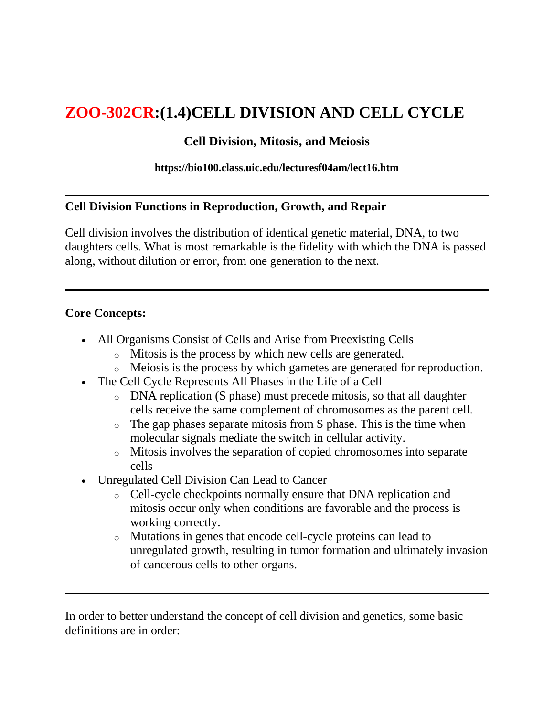# **ZOO-302CR:(1.4)CELL DIVISION AND CELL CYCLE**

### **Cell Division, Mitosis, and Meiosis**

#### **https://bio100.class.uic.edu/lecturesf04am/lect16.htm**

#### **Cell Division Functions in Reproduction, Growth, and Repair**

Cell division involves the distribution of identical genetic material, DNA, to two daughters cells. What is most remarkable is the fidelity with which the DNA is passed along, without dilution or error, from one generation to the next.

#### **Core Concepts:**

- All Organisms Consist of Cells and Arise from Preexisting Cells
	- o Mitosis is the process by which new cells are generated.
	- o Meiosis is the process by which gametes are generated for reproduction.
- The Cell Cycle Represents All Phases in the Life of a Cell
	- o DNA replication (S phase) must precede mitosis, so that all daughter cells receive the same complement of chromosomes as the parent cell.
	- $\circ$  The gap phases separate mitosis from S phase. This is the time when molecular signals mediate the switch in cellular activity.
	- o Mitosis involves the separation of copied chromosomes into separate cells
- Unregulated Cell Division Can Lead to Cancer
	- o Cell-cycle checkpoints normally ensure that DNA replication and mitosis occur only when conditions are favorable and the process is working correctly.
	- o Mutations in genes that encode cell-cycle proteins can lead to unregulated growth, resulting in tumor formation and ultimately invasion of cancerous cells to other organs.

In order to better understand the concept of cell division and genetics, some basic definitions are in order: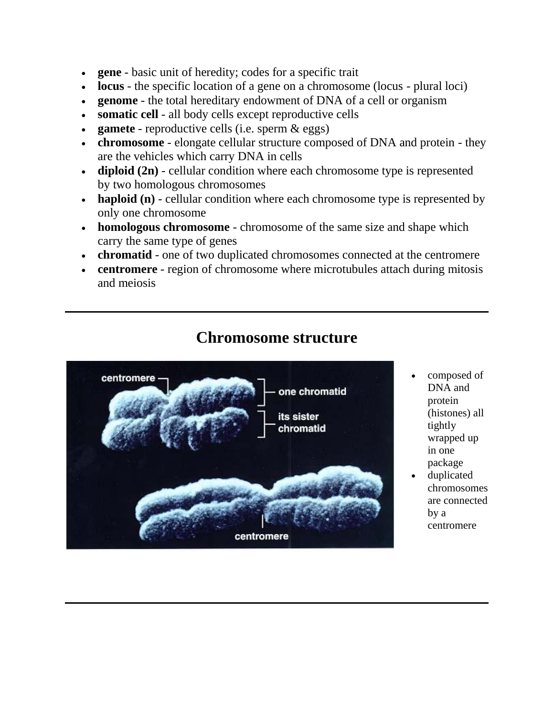- **gene** basic unit of heredity; codes for a specific trait
- **locus** the specific location of a gene on a chromosome (locus plural loci)
- **genome** the total hereditary endowment of DNA of a cell or organism
- **somatic cell** all body cells except reproductive cells
- **gamete** reproductive cells (i.e. sperm & eggs)
- **chromosome** elongate cellular structure composed of DNA and protein they are the vehicles which carry DNA in cells
- **diploid (2n)** cellular condition where each chromosome type is represented by two homologous chromosomes
- **haploid (n)** cellular condition where each chromosome type is represented by only one chromosome
- **homologous chromosome** chromosome of the same size and shape which carry the same type of genes
- **chromatid** one of two duplicated chromosomes connected at the centromere
- **centromere** region of chromosome where microtubules attach during mitosis and meiosis



### **Chromosome structure**

- composed of DNA and protein (histones) all tightly wrapped up in one package
- duplicated chromosomes are connected by a centromere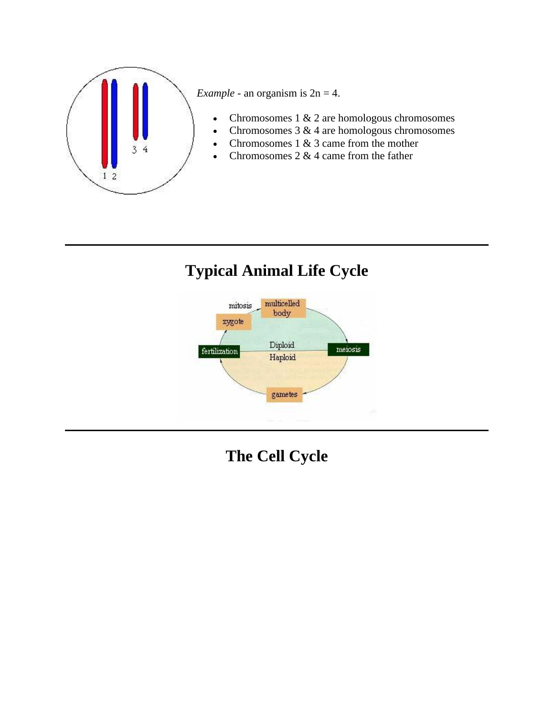

*Example* - an organism is  $2n = 4$ .

- Chromosomes  $1 & 2$  are homologous chromosomes
- Chromosomes  $3 & 4$  are homologous chromosomes
- Chromosomes  $1 & 3$  came from the mother
- Chromosomes  $2 & 4$  came from the father

# **Typical Animal Life Cycle**



**The Cell Cycle**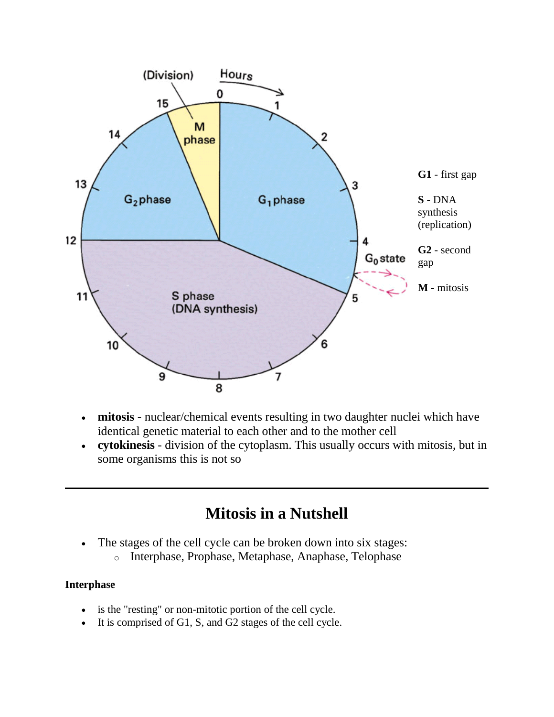

- **mitosis** nuclear/chemical events resulting in two daughter nuclei which have identical genetic material to each other and to the mother cell
- **cytokinesis** division of the cytoplasm. This usually occurs with mitosis, but in some organisms this is not so

## **Mitosis in a Nutshell**

- The stages of the cell cycle can be broken down into six stages:
	- o Interphase, Prophase, Metaphase, Anaphase, Telophase

#### **Interphase**

- is the "resting" or non-mitotic portion of the cell cycle.
- It is comprised of G1, S, and G2 stages of the cell cycle.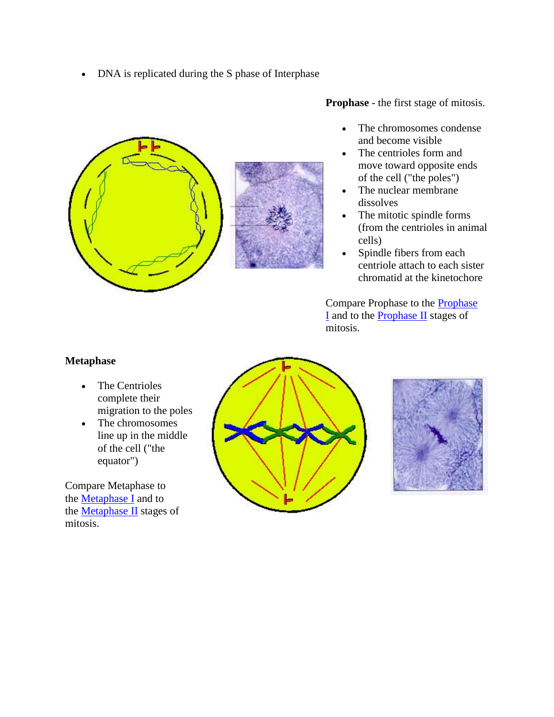DNA is replicated during the S phase of Interphase



#### **Prophase** - the first stage of mitosis.

- The chromosomes condense and become visible
- The centrioles form and move toward opposite ends of the cell ("the poles")
- The nuclear membrane dissolves
- The mitotic spindle forms (from the centrioles in animal cells)
- Spindle fibers from each centriole attach to each sister chromatid at the kinetochore

Compare Prophase to the [Prophase](https://bio100.class.uic.edu/lecturesf04am/lect16.htm#prophaseI)  [I](https://bio100.class.uic.edu/lecturesf04am/lect16.htm#prophaseI) and to the [Prophase II](https://bio100.class.uic.edu/lecturesf04am/lect16.htm#prophaseII) stages of mitosis.

#### **Metaphase**

- The Centrioles complete their migration to the poles
- The chromosomes line up in the middle of the cell ("the equator")

Compare Metaphase to the [Metaphase I](https://bio100.class.uic.edu/lecturesf04am/lect16.htm#metaphaseI) and to the [Metaphase II](https://bio100.class.uic.edu/lecturesf04am/lect16.htm#metaphaseII) stages of mitosis.



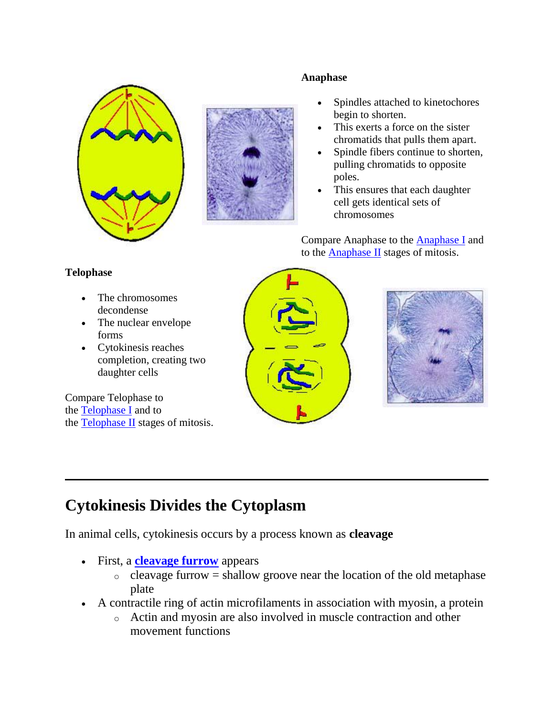



#### **Anaphase**

- Spindles attached to kinetochores begin to shorten.
- This exerts a force on the sister chromatids that pulls them apart.
- Spindle fibers continue to shorten, pulling chromatids to opposite poles.
- This ensures that each daughter cell gets identical sets of chromosomes

Compare Anaphase to the [Anaphase I](https://bio100.class.uic.edu/lecturesf04am/lect16.htm#anaphaseI) and to the  $\Delta$ naphase II stages of mitosis.

### **Telophase**

- The chromosomes decondense
- The nuclear envelope forms
- Cytokinesis reaches completion, creating two daughter cells

Compare Telophase to the [Telophase I](https://bio100.class.uic.edu/lecturesf04am/lect16.htm#telophaseI) and to the [Telophase II](https://bio100.class.uic.edu/lecturesf04am/lect16.htm#telophaseII) stages of mitosis.





# **Cytokinesis Divides the Cytoplasm**

In animal cells, cytokinesis occurs by a process known as **cleavage**

- First, a **[cleavage furrow](http://www.uic.edu/classes/bios/bios100/lectf03am/cleavage.jpg)** appears
	- $\circ$  cleavage furrow = shallow groove near the location of the old metaphase plate
- A contractile ring of actin microfilaments in association with myosin, a protein
	- o Actin and myosin are also involved in muscle contraction and other movement functions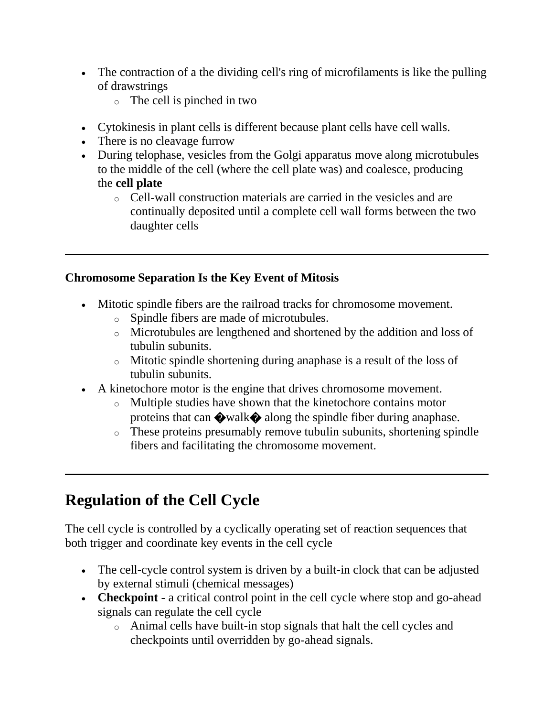- The contraction of a the dividing cell's ring of microfilaments is like the pulling of drawstrings
	- o The cell is pinched in two
- Cytokinesis in plant cells is different because plant cells have cell walls.
- There is no cleavage furrow
- During telophase, vesicles from the Golgi apparatus move along microtubules to the middle of the cell (where the cell plate was) and coalesce, producing the **cell plate**
	- o Cell-wall construction materials are carried in the vesicles and are continually deposited until a complete cell wall forms between the two daughter cells

### **Chromosome Separation Is the Key Event of Mitosis**

- Mitotic spindle fibers are the railroad tracks for chromosome movement.
	- o Spindle fibers are made of microtubules.
	- o Microtubules are lengthened and shortened by the addition and loss of tubulin subunits.
	- o Mitotic spindle shortening during anaphase is a result of the loss of tubulin subunits.
- A kinetochore motor is the engine that drives chromosome movement.
	- o Multiple studies have shown that the kinetochore contains motor proteins that can  $\bigcirc$  walk $\bigcirc$  along the spindle fiber during anaphase.
	- o These proteins presumably remove tubulin subunits, shortening spindle fibers and facilitating the chromosome movement.

# **Regulation of the Cell Cycle**

The cell cycle is controlled by a cyclically operating set of reaction sequences that both trigger and coordinate key events in the cell cycle

- The cell-cycle control system is driven by a built-in clock that can be adjusted by external stimuli (chemical messages)
- **Checkpoint** a critical control point in the cell cycle where stop and go-ahead signals can regulate the cell cycle
	- o Animal cells have built-in stop signals that halt the cell cycles and checkpoints until overridden by go-ahead signals.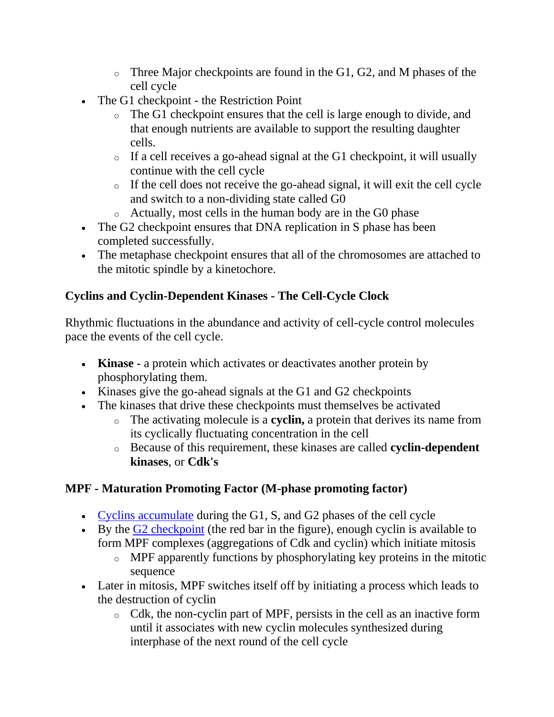- $\circ$  Three Major checkpoints are found in the G1, G2, and M phases of the cell cycle
- The G1 checkpoint the Restriction Point
	- o The G1 checkpoint ensures that the cell is large enough to divide, and that enough nutrients are available to support the resulting daughter cells.
	- o If a cell receives a go-ahead signal at the G1 checkpoint, it will usually continue with the cell cycle
	- o If the cell does not receive the go-ahead signal, it will exit the cell cycle and switch to a non-dividing state called G0
	- o Actually, most cells in the human body are in the G0 phase
- The G2 checkpoint ensures that DNA replication in S phase has been completed successfully.
- The metaphase checkpoint ensures that all of the chromosomes are attached to the mitotic spindle by a kinetochore.

### **Cyclins and Cyclin-Dependent Kinases - The Cell-Cycle Clock**

Rhythmic fluctuations in the abundance and activity of cell-cycle control molecules pace the events of the cell cycle.

- **Kinase** a protein which activates or deactivates another protein by phosphorylating them.
- Kinases give the go-ahead signals at the G1 and G2 checkpoints
- The kinases that drive these checkpoints must themselves be activated
	- o The activating molecule is a **cyclin,** a protein that derives its name from its cyclically fluctuating concentration in the cell
	- o Because of this requirement, these kinases are called **cyclin-dependent kinases**, or **Cdk's**

### **MPF - Maturation Promoting Factor (M-phase promoting factor)**

- [Cyclins accumulate](http://www.uic.edu/classes/bios/bios100/summer2002/cdk01.gif) during the G1, S, and G2 phases of the cell cycle
- By the  $G2$  checkpoint (the red bar in the figure), enough cyclin is available to form MPF complexes (aggregations of Cdk and cyclin) which initiate mitosis
	- o MPF apparently functions by phosphorylating key proteins in the mitotic sequence
- Later in mitosis, MPF switches itself off by initiating a process which leads to the destruction of cyclin
	- o Cdk, the non-cyclin part of MPF, persists in the cell as an inactive form until it associates with new cyclin molecules synthesized during interphase of the next round of the cell cycle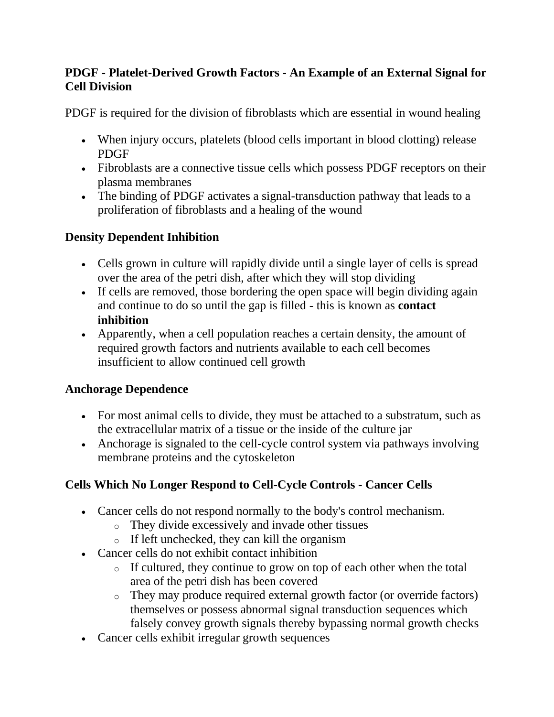### **PDGF - Platelet-Derived Growth Factors - An Example of an External Signal for Cell Division**

PDGF is required for the division of fibroblasts which are essential in wound healing

- When injury occurs, platelets (blood cells important in blood clotting) release PDGF
- Fibroblasts are a connective tissue cells which possess PDGF receptors on their plasma membranes
- The binding of PDGF activates a signal-transduction pathway that leads to a proliferation of fibroblasts and a healing of the wound

### **Density Dependent Inhibition**

- Cells grown in culture will rapidly divide until a single layer of cells is spread over the area of the petri dish, after which they will stop dividing
- If cells are removed, those bordering the open space will begin dividing again and continue to do so until the gap is filled - this is known as **contact inhibition**
- Apparently, when a cell population reaches a certain density, the amount of required growth factors and nutrients available to each cell becomes insufficient to allow continued cell growth

### **Anchorage Dependence**

- For most animal cells to divide, they must be attached to a substratum, such as the extracellular matrix of a tissue or the inside of the culture jar
- Anchorage is signaled to the cell-cycle control system via pathways involving membrane proteins and the cytoskeleton

### **Cells Which No Longer Respond to Cell-Cycle Controls - Cancer Cells**

- Cancer cells do not respond normally to the body's control mechanism.
	- o They divide excessively and invade other tissues
	- o If left unchecked, they can kill the organism
- Cancer cells do not exhibit contact inhibition
	- o If cultured, they continue to grow on top of each other when the total area of the petri dish has been covered
	- o They may produce required external growth factor (or override factors) themselves or possess abnormal signal transduction sequences which falsely convey growth signals thereby bypassing normal growth checks
- Cancer cells exhibit irregular growth sequences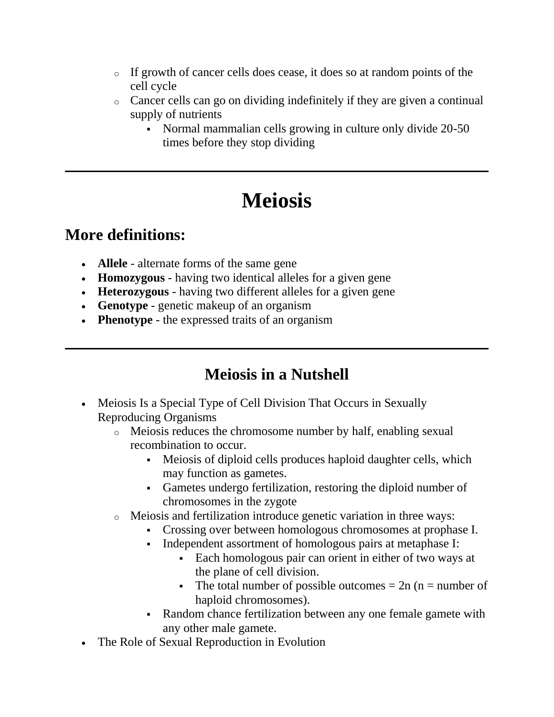- o If growth of cancer cells does cease, it does so at random points of the cell cycle
- o Cancer cells can go on dividing indefinitely if they are given a continual supply of nutrients
	- Normal mammalian cells growing in culture only divide 20-50 times before they stop dividing

# **Meiosis**

# **More definitions:**

- **Allele** alternate forms of the same gene
- **Homozygous** having two identical alleles for a given gene
- **Heterozygous** having two different alleles for a given gene
- **Genotype** genetic makeup of an organism
- **Phenotype** the expressed traits of an organism

# **Meiosis in a Nutshell**

- Meiosis Is a Special Type of Cell Division That Occurs in Sexually Reproducing Organisms
	- o Meiosis reduces the chromosome number by half, enabling sexual recombination to occur.
		- Meiosis of diploid cells produces haploid daughter cells, which may function as gametes.
		- Gametes undergo fertilization, restoring the diploid number of chromosomes in the zygote
	- o Meiosis and fertilization introduce genetic variation in three ways:
		- Crossing over between homologous chromosomes at prophase I.
		- Independent assortment of homologous pairs at metaphase I:
			- Each homologous pair can orient in either of two ways at the plane of cell division.
			- The total number of possible outcomes  $= 2n$  (n  $=$  number of haploid chromosomes).
		- Random chance fertilization between any one female gamete with any other male gamete.
- The Role of Sexual Reproduction in Evolution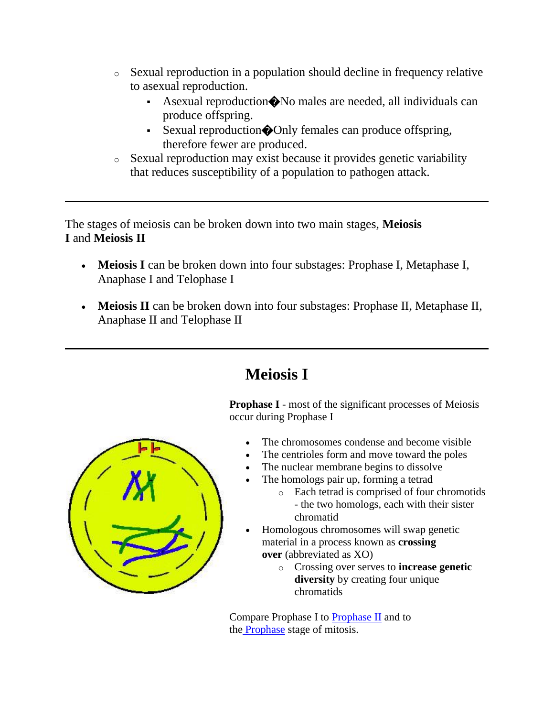- o Sexual reproduction in a population should decline in frequency relative to asexual reproduction.
	- Asexual reproduction  $\lozenge$  No males are needed, all individuals can produce offspring.
	- Sexual reproduction�Only females can produce offspring, therefore fewer are produced.
- o Sexual reproduction may exist because it provides genetic variability that reduces susceptibility of a population to pathogen attack.

The stages of meiosis can be broken down into two main stages, **Meiosis I** and **Meiosis II**

- **Meiosis I** can be broken down into four substages: Prophase I, Metaphase I, Anaphase I and Telophase I
- **Meiosis II** can be broken down into four substages: Prophase II, Metaphase II, Anaphase II and Telophase II

# **Meiosis I**

**Prophase I** - most of the significant processes of Meiosis occur during Prophase I

- The chromosomes condense and become visible
- The centrioles form and move toward the poles
- The nuclear membrane begins to dissolve
- The homologs pair up, forming a tetrad
	- o Each tetrad is comprised of four chromotids - the two homologs, each with their sister chromatid
- Homologous chromosomes will swap genetic material in a process known as **crossing over** (abbreviated as XO)
	- o Crossing over serves to **increase genetic diversity** by creating four unique chromatids

Compare Prophase I to **[Prophase II](https://bio100.class.uic.edu/lecturesf04am/lect16.htm#prophaseII)** and to the [Prophase](https://bio100.class.uic.edu/lecturesf04am/lect16.htm#prophasemitosis) stage of mitosis.

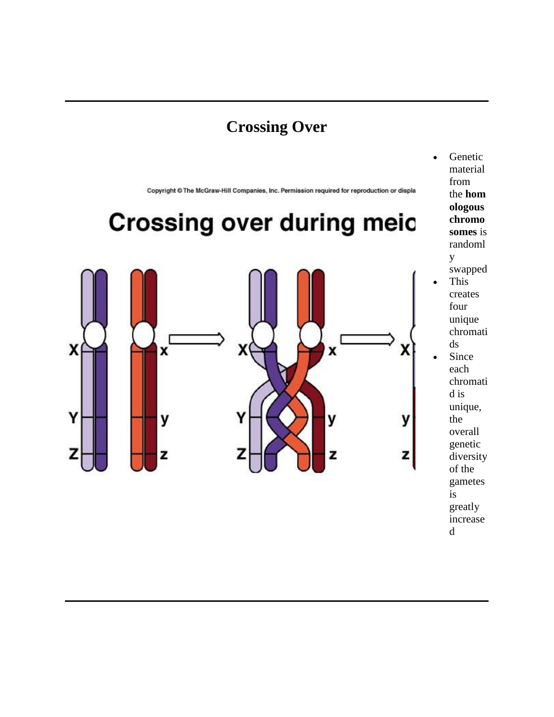# **Crossing Over**



• Genetic material from the **hom ologous chromo somes** is randoml y swapped This creates four unique chromati

> ds Since each chromati d is unique, the overall genetic diversity of the gametes is greatly increase d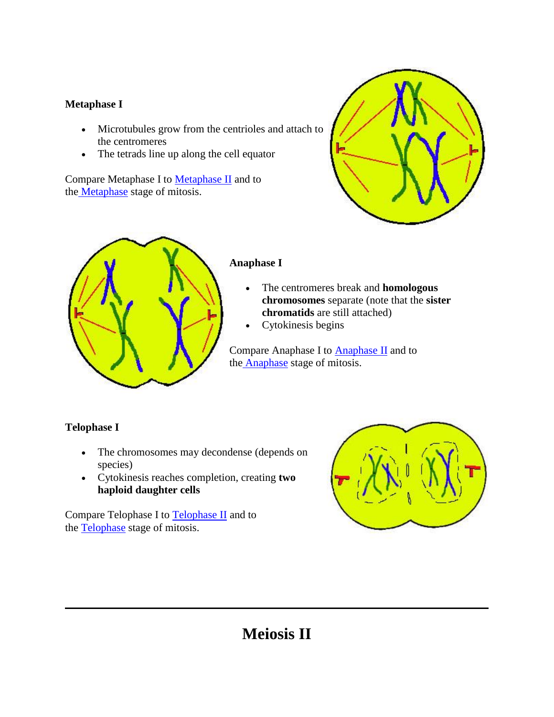#### **Metaphase I**

- Microtubules grow from the centrioles and attach to the centromeres
- The tetrads line up along the cell equator

Compare Metaphase I to [Metaphase II](https://bio100.class.uic.edu/lecturesf04am/lect16.htm#metaphaseII) and to the [Metaphase](https://bio100.class.uic.edu/lecturesf04am/lect16.htm#metaphasemitosis) stage of mitosis.





#### **Anaphase I**

- The centromeres break and **homologous chromosomes** separate (note that the **sister chromatids** are still attached)
- Cytokinesis begins

Compare Anaphase I to [Anaphase II](https://bio100.class.uic.edu/lecturesf04am/lect16.htm#anaphaseII) and to the [Anaphase](https://bio100.class.uic.edu/lecturesf04am/lect16.htm#anaphasemitosis) stage of mitosis.

#### **Telophase I**

- The chromosomes may decondense (depends on species)
- Cytokinesis reaches completion, creating **two haploid daughter cells**

Compare Telophase I to [Telophase II](https://bio100.class.uic.edu/lecturesf04am/lect16.htm#telophaseII) and to the [Telophase](https://bio100.class.uic.edu/lecturesf04am/lect16.htm#telophasemitosis) stage of mitosis.



# **Meiosis II**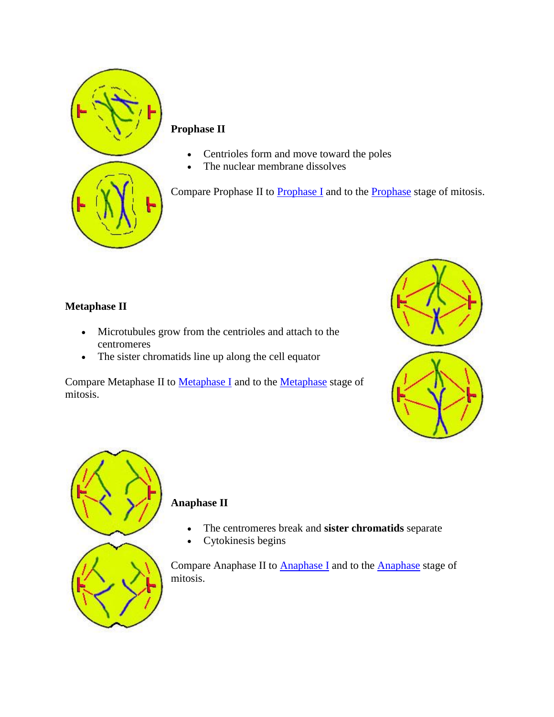

### **Prophase II**

- Centrioles form and move toward the poles
- The nuclear membrane dissolves

Compare [Prophase I](https://bio100.class.uic.edu/lecturesf04am/lect16.htm#prophaseI)I to **[Prophase](https://bio100.class.uic.edu/lecturesf04am/lect16.htm#prophasemitosis) I** and to the **Prophase** stage of mitosis.

#### **Metaphase II**

- Microtubules grow from the centrioles and attach to the centromeres
- The sister chromatids line up along the cell equator

Compare Metaphase II to [Metaphase I](https://bio100.class.uic.edu/lecturesf04am/lect16.htm#metaphaseI) and to the [Metaphase](https://bio100.class.uic.edu/lecturesf04am/lect16.htm#metaphasemitosis) stage of mitosis.





### **Anaphase II**

- The centromeres break and **sister chromatids** separate
- Cytokinesis begins

Compare [Anaphase I](https://bio100.class.uic.edu/lecturesf04am/lect16.htm#anaphaseI)I to **[Anaphase](https://bio100.class.uic.edu/lecturesf04am/lect16.htm#anaphasemitosis) I** and to the **Anaphase** stage of mitosis.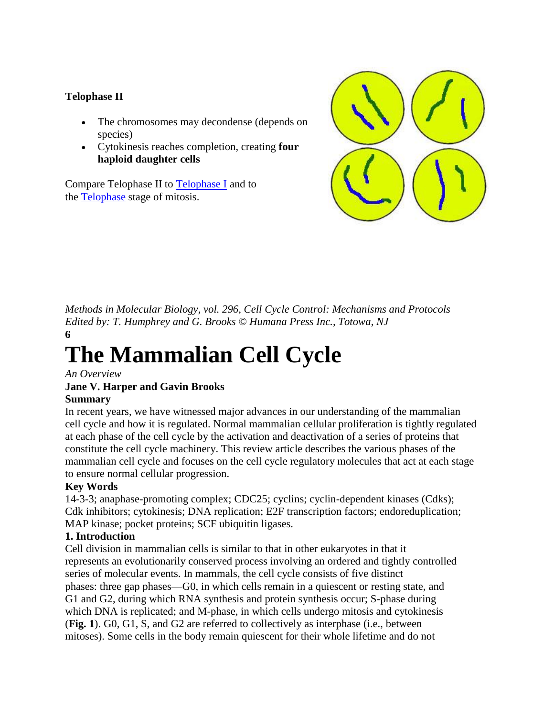#### **Telophase II**

- The chromosomes may decondense (depends on species)
- Cytokinesis reaches completion, creating **four haploid daughter cells**

Compare Telophase II to [Telophase I](https://bio100.class.uic.edu/lecturesf04am/lect16.htm#telophaseI) and to the [Telophase](https://bio100.class.uic.edu/lecturesf04am/lect16.htm#telophasemitosis) stage of mitosis.



*Methods in Molecular Biology, vol. 296, Cell Cycle Control: Mechanisms and Protocols Edited by: T. Humphrey and G. Brooks © Humana Press Inc., Totowa, NJ* **6**

# **The Mammalian Cell Cycle**

*An Overview*

## **Jane V. Harper and Gavin Brooks**

#### **Summary**

In recent years, we have witnessed major advances in our understanding of the mammalian cell cycle and how it is regulated. Normal mammalian cellular proliferation is tightly regulated at each phase of the cell cycle by the activation and deactivation of a series of proteins that constitute the cell cycle machinery. This review article describes the various phases of the mammalian cell cycle and focuses on the cell cycle regulatory molecules that act at each stage to ensure normal cellular progression.

#### **Key Words**

14-3-3; anaphase-promoting complex; CDC25; cyclins; cyclin-dependent kinases (Cdks); Cdk inhibitors; cytokinesis; DNA replication; E2F transcription factors; endoreduplication; MAP kinase; pocket proteins; SCF ubiquitin ligases.

#### **1. Introduction**

Cell division in mammalian cells is similar to that in other eukaryotes in that it represents an evolutionarily conserved process involving an ordered and tightly controlled series of molecular events. In mammals, the cell cycle consists of five distinct phases: three gap phases—G0, in which cells remain in a quiescent or resting state, and G1 and G2, during which RNA synthesis and protein synthesis occur; S-phase during which DNA is replicated; and M-phase, in which cells undergo mitosis and cytokinesis (**Fig. 1**). G0, G1, S, and G2 are referred to collectively as interphase (i.e., between mitoses). Some cells in the body remain quiescent for their whole lifetime and do not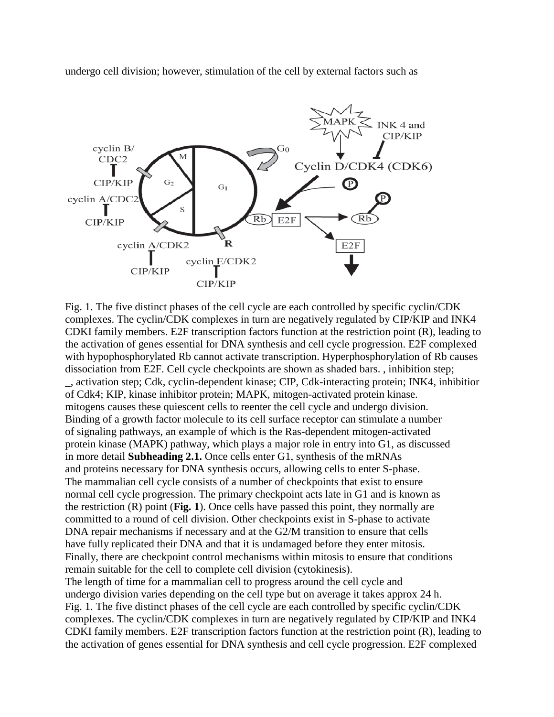undergo cell division; however, stimulation of the cell by external factors such as



Fig. 1. The five distinct phases of the cell cycle are each controlled by specific cyclin/CDK complexes. The cyclin/CDK complexes in turn are negatively regulated by CIP/KIP and INK4 CDKI family members. E2F transcription factors function at the restriction point (R), leading to the activation of genes essential for DNA synthesis and cell cycle progression. E2F complexed with hypophosphorylated Rb cannot activate transcription. Hyperphosphorylation of Rb causes dissociation from E2F. Cell cycle checkpoints are shown as shaded bars. , inhibition step; \_, activation step; Cdk, cyclin-dependent kinase; CIP, Cdk-interacting protein; INK4, inhibitior of Cdk4; KIP, kinase inhibitor protein; MAPK, mitogen-activated protein kinase. mitogens causes these quiescent cells to reenter the cell cycle and undergo division. Binding of a growth factor molecule to its cell surface receptor can stimulate a number of signaling pathways, an example of which is the Ras-dependent mitogen-activated protein kinase (MAPK) pathway, which plays a major role in entry into G1, as discussed in more detail **Subheading 2.1.** Once cells enter G1, synthesis of the mRNAs and proteins necessary for DNA synthesis occurs, allowing cells to enter S-phase. The mammalian cell cycle consists of a number of checkpoints that exist to ensure normal cell cycle progression. The primary checkpoint acts late in G1 and is known as the restriction (R) point (**Fig. 1**). Once cells have passed this point, they normally are committed to a round of cell division. Other checkpoints exist in S-phase to activate DNA repair mechanisms if necessary and at the G2/M transition to ensure that cells have fully replicated their DNA and that it is undamaged before they enter mitosis. Finally, there are checkpoint control mechanisms within mitosis to ensure that conditions remain suitable for the cell to complete cell division (cytokinesis). The length of time for a mammalian cell to progress around the cell cycle and undergo division varies depending on the cell type but on average it takes approx 24 h. Fig. 1. The five distinct phases of the cell cycle are each controlled by specific cyclin/CDK complexes. The cyclin/CDK complexes in turn are negatively regulated by CIP/KIP and INK4 CDKI family members. E2F transcription factors function at the restriction point (R), leading to the activation of genes essential for DNA synthesis and cell cycle progression. E2F complexed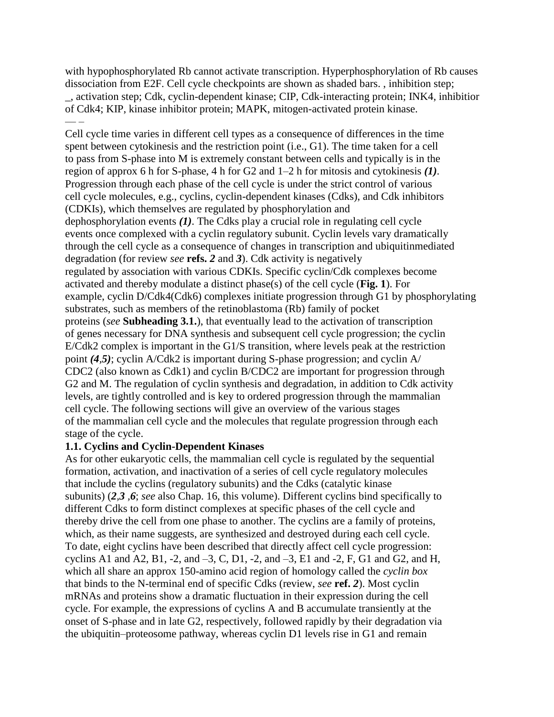with hypophosphorylated Rb cannot activate transcription. Hyperphosphorylation of Rb causes dissociation from E2F. Cell cycle checkpoints are shown as shaded bars. , inhibition step; \_, activation step; Cdk, cyclin-dependent kinase; CIP, Cdk-interacting protein; INK4, inhibitior of Cdk4; KIP, kinase inhibitor protein; MAPK, mitogen-activated protein kinase. — –

Cell cycle time varies in different cell types as a consequence of differences in the time spent between cytokinesis and the restriction point (i.e., G1). The time taken for a cell to pass from S-phase into M is extremely constant between cells and typically is in the region of approx 6 h for S-phase, 4 h for G2 and 1–2 h for mitosis and cytokinesis *(1)*. Progression through each phase of the cell cycle is under the strict control of various cell cycle molecules, e.g., cyclins, cyclin-dependent kinases (Cdks), and Cdk inhibitors (CDKIs), which themselves are regulated by phosphorylation and dephosphorylation events *(1)*. The Cdks play a crucial role in regulating cell cycle events once complexed with a cyclin regulatory subunit. Cyclin levels vary dramatically through the cell cycle as a consequence of changes in transcription and ubiquitinmediated degradation (for review *see* **refs.** *2* and *3*). Cdk activity is negatively regulated by association with various CDKIs. Specific cyclin/Cdk complexes become activated and thereby modulate a distinct phase(s) of the cell cycle (**Fig. 1**). For example, cyclin D/Cdk4(Cdk6) complexes initiate progression through G1 by phosphorylating substrates, such as members of the retinoblastoma (Rb) family of pocket proteins (*see* **Subheading 3.1.**), that eventually lead to the activation of transcription of genes necessary for DNA synthesis and subsequent cell cycle progression; the cyclin E/Cdk2 complex is important in the G1/S transition, where levels peak at the restriction point *(4,5)*; cyclin A/Cdk2 is important during S-phase progression; and cyclin A/ CDC2 (also known as Cdk1) and cyclin B/CDC2 are important for progression through G2 and M. The regulation of cyclin synthesis and degradation, in addition to Cdk activity levels, are tightly controlled and is key to ordered progression through the mammalian cell cycle. The following sections will give an overview of the various stages of the mammalian cell cycle and the molecules that regulate progression through each stage of the cycle.

#### **1.1. Cyclins and Cyclin-Dependent Kinases**

As for other eukaryotic cells, the mammalian cell cycle is regulated by the sequential formation, activation, and inactivation of a series of cell cycle regulatory molecules that include the cyclins (regulatory subunits) and the Cdks (catalytic kinase subunits) (*2,3 ,6*; *see* also Chap. 16, this volume). Different cyclins bind specifically to different Cdks to form distinct complexes at specific phases of the cell cycle and thereby drive the cell from one phase to another. The cyclins are a family of proteins, which, as their name suggests, are synthesized and destroyed during each cell cycle. To date, eight cyclins have been described that directly affect cell cycle progression: cyclins A1 and A2, B1, -2, and –3, C, D1, -2, and –3, E1 and -2, F, G1 and G2, and H, which all share an approx 150-amino acid region of homology called the *cyclin box* that binds to the N-terminal end of specific Cdks (review, *see* **ref.** *2*). Most cyclin mRNAs and proteins show a dramatic fluctuation in their expression during the cell cycle. For example, the expressions of cyclins A and B accumulate transiently at the onset of S-phase and in late G2, respectively, followed rapidly by their degradation via the ubiquitin–proteosome pathway, whereas cyclin D1 levels rise in G1 and remain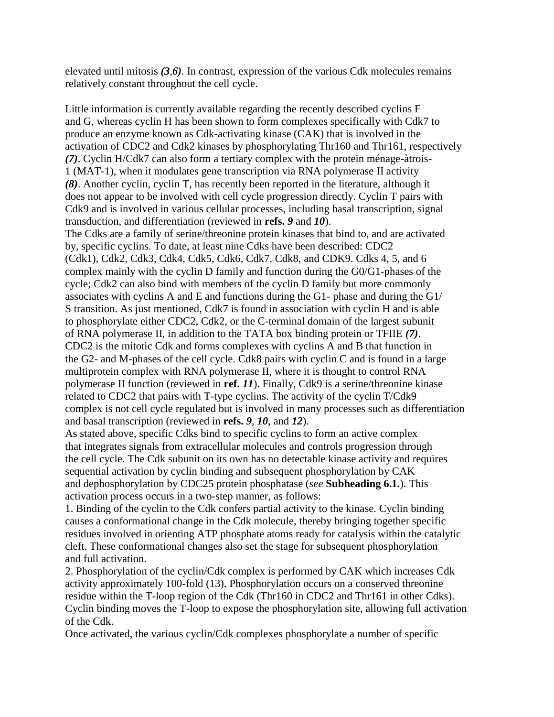elevated until mitosis *(3,6)*. In contrast, expression of the various Cdk molecules remains relatively constant throughout the cell cycle.

Little information is currently available regarding the recently described cyclins F and G, whereas cyclin H has been shown to form complexes specifically with Cdk7 to produce an enzyme known as Cdk-activating kinase (CAK) that is involved in the activation of CDC2 and Cdk2 kinases by phosphorylating Thr160 and Thr161, respectively *(7)*. Cyclin H/Cdk7 can also form a tertiary complex with the protein ménage-àtrois-1 (MAT-1), when it modulates gene transcription via RNA polymerase II activity *(8)*. Another cyclin, cyclin T, has recently been reported in the literature, although it does not appear to be involved with cell cycle progression directly. Cyclin T pairs with Cdk9 and is involved in various cellular processes, including basal transcription, signal transduction, and differentiation (reviewed in **refs.** *9* and *10*). The Cdks are a family of serine/threonine protein kinases that bind to, and are activated by, specific cyclins. To date, at least nine Cdks have been described: CDC2 (Cdk1), Cdk2, Cdk3, Cdk4, Cdk5, Cdk6, Cdk7, Cdk8, and CDK9. Cdks 4, 5, and 6 complex mainly with the cyclin D family and function during the G0/G1-phases of the cycle; Cdk2 can also bind with members of the cyclin D family but more commonly associates with cyclins A and E and functions during the G1- phase and during the G1/ S transition. As just mentioned, Cdk7 is found in association with cyclin H and is able to phosphorylate either CDC2, Cdk2, or the C-terminal domain of the largest subunit of RNA polymerase II, in addition to the TATA box binding protein or TFIIE *(7)*. CDC2 is the mitotic Cdk and forms complexes with cyclins A and B that function in the G2- and M-phases of the cell cycle. Cdk8 pairs with cyclin C and is found in a large multiprotein complex with RNA polymerase II, where it is thought to control RNA polymerase II function (reviewed in **ref.** *11*). Finally, Cdk9 is a serine/threonine kinase related to CDC2 that pairs with T-type cyclins. The activity of the cyclin T/Cdk9 complex is not cell cycle regulated but is involved in many processes such as differentiation and basal transcription (reviewed in **refs.** *9*, *10*, and *12*).

As stated above, specific Cdks bind to specific cyclins to form an active complex that integrates signals from extracellular molecules and controls progression through the cell cycle. The Cdk subunit on its own has no detectable kinase activity and requires sequential activation by cyclin binding and subsequent phosphorylation by CAK and dephosphorylation by CDC25 protein phosphatase (*see* **Subheading 6.1.**). This activation process occurs in a two-step manner, as follows:

1. Binding of the cyclin to the Cdk confers partial activity to the kinase. Cyclin binding causes a conformational change in the Cdk molecule, thereby bringing together specific residues involved in orienting ATP phosphate atoms ready for catalysis within the catalytic cleft. These conformational changes also set the stage for subsequent phosphorylation and full activation.

2. Phosphorylation of the cyclin/Cdk complex is performed by CAK which increases Cdk activity approximately 100-fold (13). Phosphorylation occurs on a conserved threonine residue within the T-loop region of the Cdk (Thr160 in CDC2 and Thr161 in other Cdks). Cyclin binding moves the T-loop to expose the phosphorylation site, allowing full activation of the Cdk.

Once activated, the various cyclin/Cdk complexes phosphorylate a number of specific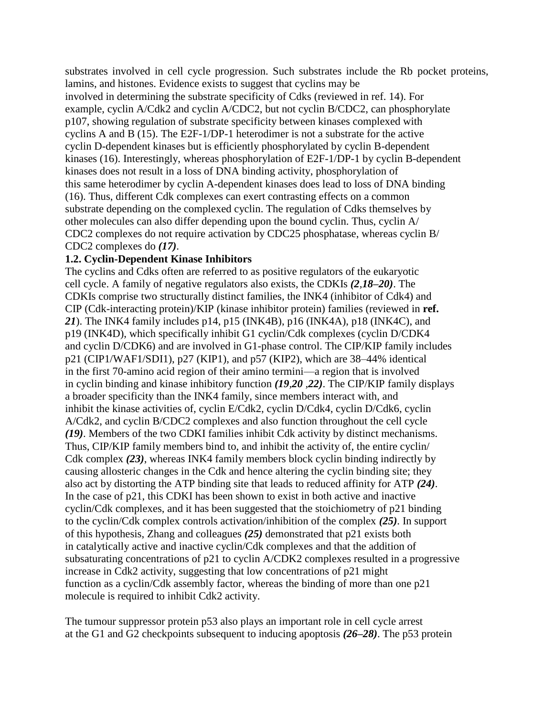substrates involved in cell cycle progression. Such substrates include the Rb pocket proteins, lamins, and histones. Evidence exists to suggest that cyclins may be involved in determining the substrate specificity of Cdks (reviewed in ref. 14). For example, cyclin A/Cdk2 and cyclin A/CDC2, but not cyclin B/CDC2, can phosphorylate p107, showing regulation of substrate specificity between kinases complexed with cyclins A and B (15). The E2F-1/DP-1 heterodimer is not a substrate for the active cyclin D-dependent kinases but is efficiently phosphorylated by cyclin B-dependent kinases (16). Interestingly, whereas phosphorylation of E2F-1/DP-1 by cyclin B-dependent kinases does not result in a loss of DNA binding activity, phosphorylation of this same heterodimer by cyclin A-dependent kinases does lead to loss of DNA binding (16). Thus, different Cdk complexes can exert contrasting effects on a common substrate depending on the complexed cyclin. The regulation of Cdks themselves by other molecules can also differ depending upon the bound cyclin. Thus, cyclin A/ CDC2 complexes do not require activation by CDC25 phosphatase, whereas cyclin B/ CDC2 complexes do *(17)*.

#### **1.2. Cyclin-Dependent Kinase Inhibitors**

The cyclins and Cdks often are referred to as positive regulators of the eukaryotic cell cycle. A family of negative regulators also exists, the CDKIs *(2,18–20)*. The CDKIs comprise two structurally distinct families, the INK4 (inhibitor of Cdk4) and CIP (Cdk-interacting protein)/KIP (kinase inhibitor protein) families (reviewed in **ref.** *21*). The INK4 family includes p14, p15 (INK4B), p16 (INK4A), p18 (INK4C), and p19 (INK4D), which specifically inhibit G1 cyclin/Cdk complexes (cyclin D/CDK4 and cyclin D/CDK6) and are involved in G1-phase control. The CIP/KIP family includes p21 (CIP1/WAF1/SDI1), p27 (KIP1), and p57 (KIP2), which are 38–44% identical in the first 70-amino acid region of their amino termini—a region that is involved in cyclin binding and kinase inhibitory function *(19,20 ,22)*. The CIP/KIP family displays a broader specificity than the INK4 family, since members interact with, and inhibit the kinase activities of, cyclin E/Cdk2, cyclin D/Cdk4, cyclin D/Cdk6, cyclin A/Cdk2, and cyclin B/CDC2 complexes and also function throughout the cell cycle *(19)*. Members of the two CDKI families inhibit Cdk activity by distinct mechanisms. Thus, CIP/KIP family members bind to, and inhibit the activity of, the entire cyclin/ Cdk complex *(23)*, whereas INK4 family members block cyclin binding indirectly by causing allosteric changes in the Cdk and hence altering the cyclin binding site; they also act by distorting the ATP binding site that leads to reduced affinity for ATP *(24)*. In the case of p21, this CDKI has been shown to exist in both active and inactive cyclin/Cdk complexes, and it has been suggested that the stoichiometry of p21 binding to the cyclin/Cdk complex controls activation/inhibition of the complex *(25)*. In support of this hypothesis, Zhang and colleagues *(25)* demonstrated that p21 exists both in catalytically active and inactive cyclin/Cdk complexes and that the addition of subsaturating concentrations of p21 to cyclin A/CDK2 complexes resulted in a progressive increase in Cdk2 activity, suggesting that low concentrations of p21 might function as a cyclin/Cdk assembly factor, whereas the binding of more than one p21 molecule is required to inhibit Cdk2 activity.

The tumour suppressor protein p53 also plays an important role in cell cycle arrest at the G1 and G2 checkpoints subsequent to inducing apoptosis *(26–28)*. The p53 protein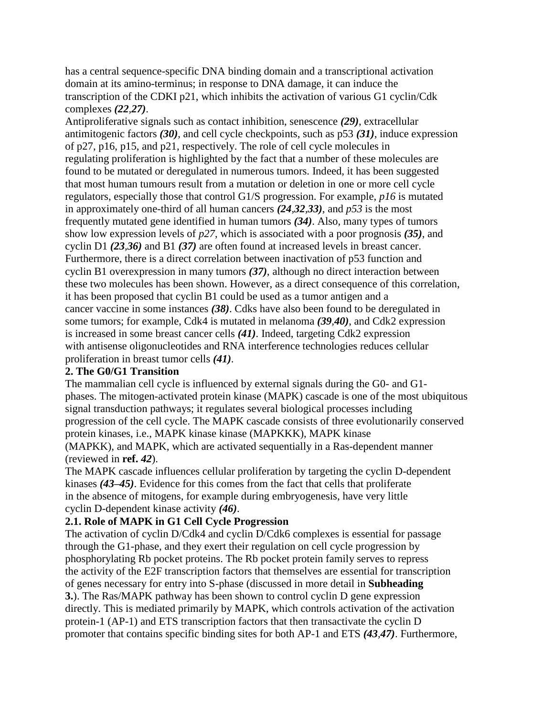has a central sequence-specific DNA binding domain and a transcriptional activation domain at its amino-terminus; in response to DNA damage, it can induce the transcription of the CDKI p21, which inhibits the activation of various G1 cyclin/Cdk complexes *(22,27)*.

Antiproliferative signals such as contact inhibition, senescence *(29)*, extracellular antimitogenic factors *(30)*, and cell cycle checkpoints, such as p53 *(31)*, induce expression of p27, p16, p15, and p21, respectively. The role of cell cycle molecules in regulating proliferation is highlighted by the fact that a number of these molecules are found to be mutated or deregulated in numerous tumors. Indeed, it has been suggested that most human tumours result from a mutation or deletion in one or more cell cycle regulators, especially those that control G1/S progression. For example, *p16* is mutated in approximately one-third of all human cancers *(24,32,33)*, and *p53* is the most frequently mutated gene identified in human tumors *(34)*. Also, many types of tumors show low expression levels of *p27*, which is associated with a poor prognosis *(35)*, and cyclin D1 *(23,36)* and B1 *(37)* are often found at increased levels in breast cancer. Furthermore, there is a direct correlation between inactivation of p53 function and cyclin B1 overexpression in many tumors *(37)*, although no direct interaction between these two molecules has been shown. However, as a direct consequence of this correlation, it has been proposed that cyclin B1 could be used as a tumor antigen and a cancer vaccine in some instances *(38)*. Cdks have also been found to be deregulated in some tumors; for example, Cdk4 is mutated in melanoma *(39,40)*, and Cdk2 expression is increased in some breast cancer cells *(41)*. Indeed, targeting Cdk2 expression with antisense oligonucleotides and RNA interference technologies reduces cellular proliferation in breast tumor cells *(41)*.

#### **2. The G0/G1 Transition**

The mammalian cell cycle is influenced by external signals during the G0- and G1 phases. The mitogen-activated protein kinase (MAPK) cascade is one of the most ubiquitous signal transduction pathways; it regulates several biological processes including progression of the cell cycle. The MAPK cascade consists of three evolutionarily conserved protein kinases, i.e., MAPK kinase kinase (MAPKKK), MAPK kinase (MAPKK), and MAPK, which are activated sequentially in a Ras-dependent manner (reviewed in **ref.** *42*).

The MAPK cascade influences cellular proliferation by targeting the cyclin D-dependent kinases *(43–45)*. Evidence for this comes from the fact that cells that proliferate in the absence of mitogens, for example during embryogenesis, have very little cyclin D-dependent kinase activity *(46)*.

#### **2.1. Role of MAPK in G1 Cell Cycle Progression**

The activation of cyclin D/Cdk4 and cyclin D/Cdk6 complexes is essential for passage through the G1-phase, and they exert their regulation on cell cycle progression by phosphorylating Rb pocket proteins. The Rb pocket protein family serves to repress the activity of the E2F transcription factors that themselves are essential for transcription of genes necessary for entry into S-phase (discussed in more detail in **Subheading 3.**). The Ras/MAPK pathway has been shown to control cyclin D gene expression directly. This is mediated primarily by MAPK, which controls activation of the activation protein-1 (AP-1) and ETS transcription factors that then transactivate the cyclin D promoter that contains specific binding sites for both AP-1 and ETS *(43,47)*. Furthermore,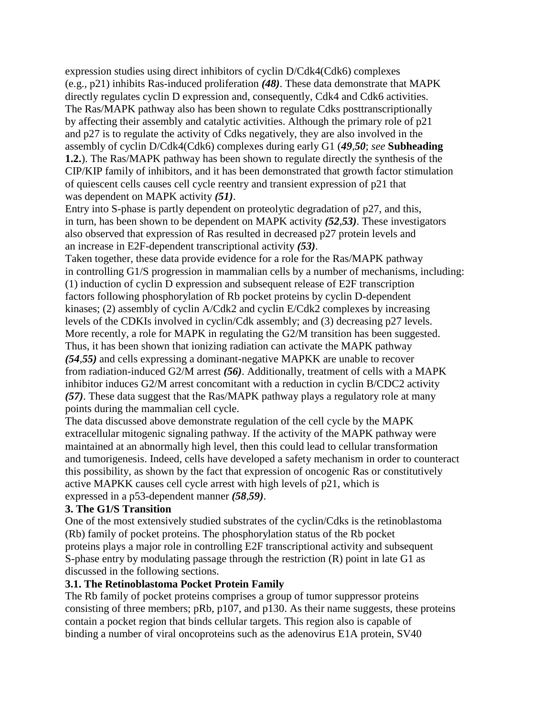expression studies using direct inhibitors of cyclin D/Cdk4(Cdk6) complexes (e.g., p21) inhibits Ras-induced proliferation *(48)*. These data demonstrate that MAPK directly regulates cyclin D expression and, consequently, Cdk4 and Cdk6 activities. The Ras/MAPK pathway also has been shown to regulate Cdks posttranscriptionally by affecting their assembly and catalytic activities. Although the primary role of p21 and p27 is to regulate the activity of Cdks negatively, they are also involved in the assembly of cyclin D/Cdk4(Cdk6) complexes during early G1 (*49,50*; *see* **Subheading 1.2.**). The Ras/MAPK pathway has been shown to regulate directly the synthesis of the CIP/KIP family of inhibitors, and it has been demonstrated that growth factor stimulation of quiescent cells causes cell cycle reentry and transient expression of p21 that was dependent on MAPK activity *(51)*.

Entry into S-phase is partly dependent on proteolytic degradation of p27, and this, in turn, has been shown to be dependent on MAPK activity *(52,53)*. These investigators also observed that expression of Ras resulted in decreased p27 protein levels and an increase in E2F-dependent transcriptional activity *(53)*.

Taken together, these data provide evidence for a role for the Ras/MAPK pathway in controlling G1/S progression in mammalian cells by a number of mechanisms, including: (1) induction of cyclin D expression and subsequent release of E2F transcription factors following phosphorylation of Rb pocket proteins by cyclin D-dependent kinases; (2) assembly of cyclin A/Cdk2 and cyclin E/Cdk2 complexes by increasing levels of the CDKIs involved in cyclin/Cdk assembly; and (3) decreasing p27 levels. More recently, a role for MAPK in regulating the G2/M transition has been suggested. Thus, it has been shown that ionizing radiation can activate the MAPK pathway *(54,55)* and cells expressing a dominant-negative MAPKK are unable to recover from radiation-induced G2/M arrest *(56)*. Additionally, treatment of cells with a MAPK inhibitor induces G2/M arrest concomitant with a reduction in cyclin B/CDC2 activity *(57)*. These data suggest that the Ras/MAPK pathway plays a regulatory role at many points during the mammalian cell cycle.

The data discussed above demonstrate regulation of the cell cycle by the MAPK extracellular mitogenic signaling pathway. If the activity of the MAPK pathway were maintained at an abnormally high level, then this could lead to cellular transformation and tumorigenesis. Indeed, cells have developed a safety mechanism in order to counteract this possibility, as shown by the fact that expression of oncogenic Ras or constitutively active MAPKK causes cell cycle arrest with high levels of p21, which is expressed in a p53-dependent manner *(58,59)*.

#### **3. The G1/S Transition**

One of the most extensively studied substrates of the cyclin/Cdks is the retinoblastoma (Rb) family of pocket proteins. The phosphorylation status of the Rb pocket proteins plays a major role in controlling E2F transcriptional activity and subsequent S-phase entry by modulating passage through the restriction (R) point in late G1 as discussed in the following sections.

#### **3.1. The Retinoblastoma Pocket Protein Family**

The Rb family of pocket proteins comprises a group of tumor suppressor proteins consisting of three members; pRb, p107, and p130. As their name suggests, these proteins contain a pocket region that binds cellular targets. This region also is capable of binding a number of viral oncoproteins such as the adenovirus E1A protein, SV40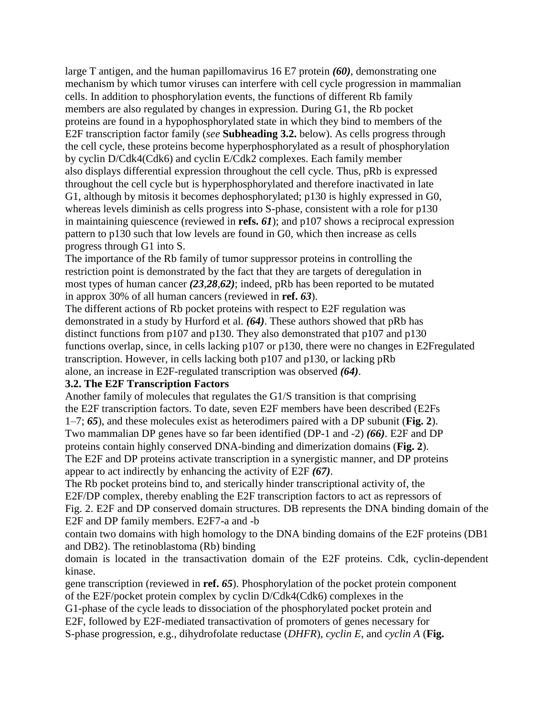large T antigen, and the human papillomavirus 16 E7 protein *(60)*, demonstrating one mechanism by which tumor viruses can interfere with cell cycle progression in mammalian cells. In addition to phosphorylation events, the functions of different Rb family members are also regulated by changes in expression. During G1, the Rb pocket proteins are found in a hypophosphorylated state in which they bind to members of the E2F transcription factor family (*see* **Subheading 3.2.** below). As cells progress through the cell cycle, these proteins become hyperphosphorylated as a result of phosphorylation by cyclin D/Cdk4(Cdk6) and cyclin E/Cdk2 complexes. Each family member also displays differential expression throughout the cell cycle. Thus, pRb is expressed throughout the cell cycle but is hyperphosphorylated and therefore inactivated in late G1, although by mitosis it becomes dephosphorylated; p130 is highly expressed in G0, whereas levels diminish as cells progress into S-phase, consistent with a role for p130 in maintaining quiescence (reviewed in **refs.** *61*); and p107 shows a reciprocal expression pattern to p130 such that low levels are found in G0, which then increase as cells progress through G1 into S.

The importance of the Rb family of tumor suppressor proteins in controlling the restriction point is demonstrated by the fact that they are targets of deregulation in most types of human cancer *(23,28,62)*; indeed, pRb has been reported to be mutated in approx 30% of all human cancers (reviewed in **ref.** *63*).

The different actions of Rb pocket proteins with respect to E2F regulation was demonstrated in a study by Hurford et al. *(64)*. These authors showed that pRb has distinct functions from p107 and p130. They also demonstrated that p107 and p130 functions overlap, since, in cells lacking p107 or p130, there were no changes in E2Fregulated transcription. However, in cells lacking both p107 and p130, or lacking pRb alone, an increase in E2F-regulated transcription was observed *(64)*.

#### **3.2. The E2F Transcription Factors**

Another family of molecules that regulates the G1/S transition is that comprising the E2F transcription factors. To date, seven E2F members have been described (E2Fs 1–7; *65*), and these molecules exist as heterodimers paired with a DP subunit (**Fig. 2**). Two mammalian DP genes have so far been identified (DP-1 and -2) *(66)*. E2F and DP proteins contain highly conserved DNA-binding and dimerization domains (**Fig. 2**). The E2F and DP proteins activate transcription in a synergistic manner, and DP proteins appear to act indirectly by enhancing the activity of E2F *(67)*.

The Rb pocket proteins bind to, and sterically hinder transcriptional activity of, the E2F/DP complex, thereby enabling the E2F transcription factors to act as repressors of

Fig. 2. E2F and DP conserved domain structures. DB represents the DNA binding domain of the E2F and DP family members. E2F7-a and -b

contain two domains with high homology to the DNA binding domains of the E2F proteins (DB1 and DB2). The retinoblastoma (Rb) binding

domain is located in the transactivation domain of the E2F proteins. Cdk, cyclin-dependent kinase.

gene transcription (reviewed in **ref.** *65*). Phosphorylation of the pocket protein component of the E2F/pocket protein complex by cyclin D/Cdk4(Cdk6) complexes in the

G1-phase of the cycle leads to dissociation of the phosphorylated pocket protein and

E2F, followed by E2F-mediated transactivation of promoters of genes necessary for

S-phase progression, e.g., dihydrofolate reductase (*DHFR*), *cyclin E*, and *cyclin A* (**Fig.**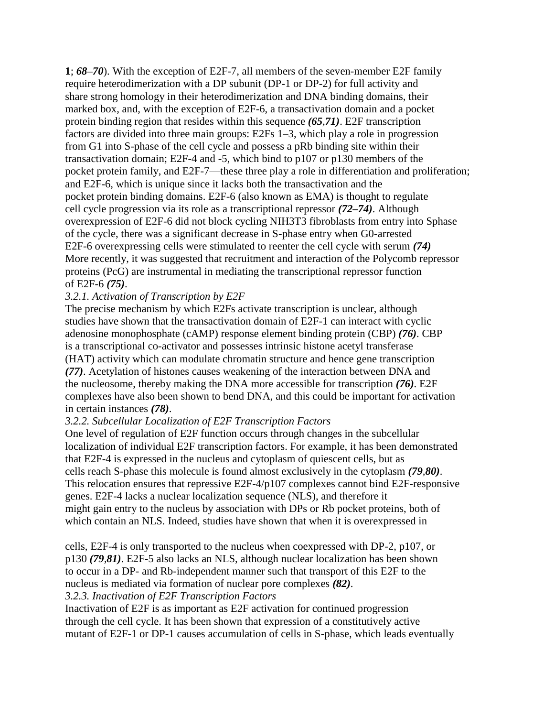**1**; *68–70*). With the exception of E2F-7, all members of the seven-member E2F family require heterodimerization with a DP subunit (DP-1 or DP-2) for full activity and share strong homology in their heterodimerization and DNA binding domains, their marked box, and, with the exception of E2F-6, a transactivation domain and a pocket protein binding region that resides within this sequence *(65,71)*. E2F transcription factors are divided into three main groups: E2Fs 1–3, which play a role in progression from G1 into S-phase of the cell cycle and possess a pRb binding site within their transactivation domain; E2F-4 and -5, which bind to p107 or p130 members of the pocket protein family, and E2F-7—these three play a role in differentiation and proliferation; and E2F-6, which is unique since it lacks both the transactivation and the pocket protein binding domains. E2F-6 (also known as EMA) is thought to regulate cell cycle progression via its role as a transcriptional repressor *(72–74)*. Although overexpression of E2F-6 did not block cycling NIH3T3 fibroblasts from entry into Sphase of the cycle, there was a significant decrease in S-phase entry when G0-arrested E2F-6 overexpressing cells were stimulated to reenter the cell cycle with serum *(74)* More recently, it was suggested that recruitment and interaction of the Polycomb repressor proteins (PcG) are instrumental in mediating the transcriptional repressor function of E2F-6 *(75)*.

#### *3.2.1. Activation of Transcription by E2F*

The precise mechanism by which E2Fs activate transcription is unclear, although studies have shown that the transactivation domain of E2F-1 can interact with cyclic adenosine monophosphate (cAMP) response element binding protein (CBP) *(76)*. CBP is a transcriptional co-activator and possesses intrinsic histone acetyl transferase (HAT) activity which can modulate chromatin structure and hence gene transcription *(77)*. Acetylation of histones causes weakening of the interaction between DNA and the nucleosome, thereby making the DNA more accessible for transcription *(76)*. E2F complexes have also been shown to bend DNA, and this could be important for activation in certain instances *(78)*.

#### *3.2.2. Subcellular Localization of E2F Transcription Factors*

One level of regulation of E2F function occurs through changes in the subcellular localization of individual E2F transcription factors. For example, it has been demonstrated that E2F-4 is expressed in the nucleus and cytoplasm of quiescent cells, but as cells reach S-phase this molecule is found almost exclusively in the cytoplasm *(79,80)*. This relocation ensures that repressive E2F-4/p107 complexes cannot bind E2F-responsive genes. E2F-4 lacks a nuclear localization sequence (NLS), and therefore it might gain entry to the nucleus by association with DPs or Rb pocket proteins, both of which contain an NLS. Indeed, studies have shown that when it is overexpressed in

cells, E2F-4 is only transported to the nucleus when coexpressed with DP-2, p107, or p130 *(79,81)*. E2F-5 also lacks an NLS, although nuclear localization has been shown to occur in a DP- and Rb-independent manner such that transport of this E2F to the nucleus is mediated via formation of nuclear pore complexes *(82)*.

*3.2.3. Inactivation of E2F Transcription Factors*

Inactivation of E2F is as important as E2F activation for continued progression through the cell cycle. It has been shown that expression of a constitutively active mutant of E2F-1 or DP-1 causes accumulation of cells in S-phase, which leads eventually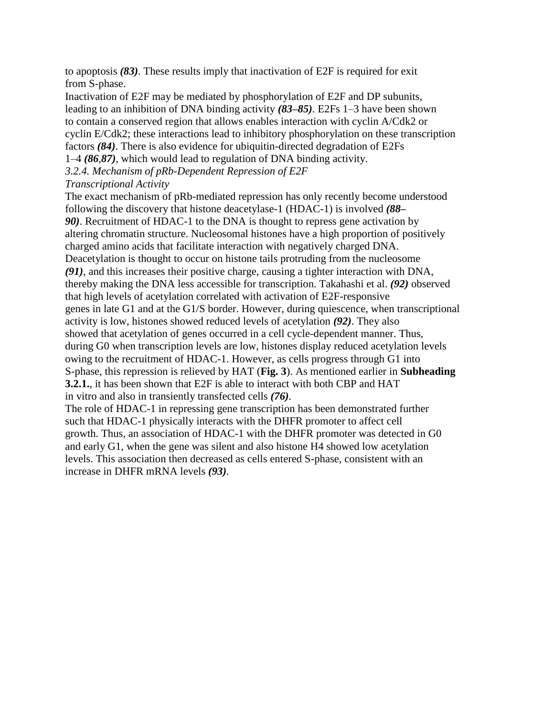to apoptosis *(83)*. These results imply that inactivation of E2F is required for exit from S-phase.

Inactivation of E2F may be mediated by phosphorylation of E2F and DP subunits, leading to an inhibition of DNA binding activity *(83–85)*. E2Fs 1–3 have been shown to contain a conserved region that allows enables interaction with cyclin A/Cdk2 or cyclin E/Cdk2; these interactions lead to inhibitory phosphorylation on these transcription factors *(84)*. There is also evidence for ubiquitin-directed degradation of E2Fs 1–4 *(86,87)*, which would lead to regulation of DNA binding activity.

*3.2.4. Mechanism of pRb-Dependent Repression of E2F*

#### *Transcriptional Activity*

The exact mechanism of pRb-mediated repression has only recently become understood following the discovery that histone deacetylase-1 (HDAC-1) is involved *(88– 90)*. Recruitment of HDAC-1 to the DNA is thought to repress gene activation by altering chromatin structure. Nucleosomal histones have a high proportion of positively charged amino acids that facilitate interaction with negatively charged DNA. Deacetylation is thought to occur on histone tails protruding from the nucleosome *(91)*, and this increases their positive charge, causing a tighter interaction with DNA, thereby making the DNA less accessible for transcription. Takahashi et al. *(92)* observed that high levels of acetylation correlated with activation of E2F-responsive genes in late G1 and at the G1/S border. However, during quiescence, when transcriptional activity is low, histones showed reduced levels of acetylation *(92)*. They also showed that acetylation of genes occurred in a cell cycle-dependent manner. Thus, during G0 when transcription levels are low, histones display reduced acetylation levels owing to the recruitment of HDAC-1. However, as cells progress through G1 into S-phase, this repression is relieved by HAT (**Fig. 3**). As mentioned earlier in **Subheading 3.2.1.**, it has been shown that E2F is able to interact with both CBP and HAT in vitro and also in transiently transfected cells *(76)*.

The role of HDAC-1 in repressing gene transcription has been demonstrated further such that HDAC-1 physically interacts with the DHFR promoter to affect cell growth. Thus, an association of HDAC-1 with the DHFR promoter was detected in G0 and early G1, when the gene was silent and also histone H4 showed low acetylation levels. This association then decreased as cells entered S-phase, consistent with an increase in DHFR mRNA levels *(93)*.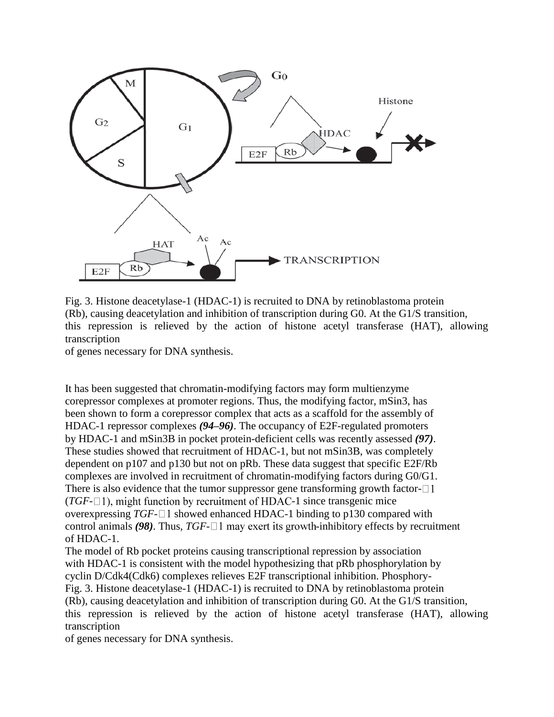

Fig. 3. Histone deacetylase-1 (HDAC-1) is recruited to DNA by retinoblastoma protein (Rb), causing deacetylation and inhibition of transcription during G0. At the G1/S transition, this repression is relieved by the action of histone acetyl transferase (HAT), allowing transcription

of genes necessary for DNA synthesis.

It has been suggested that chromatin-modifying factors may form multienzyme corepressor complexes at promoter regions. Thus, the modifying factor, mSin3, has been shown to form a corepressor complex that acts as a scaffold for the assembly of HDAC-1 repressor complexes *(94–96)*. The occupancy of E2F-regulated promoters by HDAC-1 and mSin3B in pocket protein-deficient cells was recently assessed *(97)*. These studies showed that recruitment of HDAC-1, but not mSin3B, was completely dependent on p107 and p130 but not on pRb. These data suggest that specific E2F/Rb complexes are involved in recruitment of chromatin-modifying factors during G0/G1. There is also evidence that the tumor suppressor gene transforming growth factor*-*  $(TGF-1)$ , might function by recruitment of HDAC-1 since transgenic mice overexpressing  $TGF$ - $\square$ 1 showed enhanced HDAC-1 binding to p130 compared with control animals *(98)*. Thus,  $TGF$ - $\Box$ 1 may exert its growth-inhibitory effects by recruitment of HDAC-1.

The model of Rb pocket proteins causing transcriptional repression by association with HDAC-1 is consistent with the model hypothesizing that pRb phosphorylation by cyclin D/Cdk4(Cdk6) complexes relieves E2F transcriptional inhibition. Phosphory-Fig. 3. Histone deacetylase-1 (HDAC-1) is recruited to DNA by retinoblastoma protein (Rb), causing deacetylation and inhibition of transcription during G0. At the G1/S transition, this repression is relieved by the action of histone acetyl transferase (HAT), allowing transcription

of genes necessary for DNA synthesis.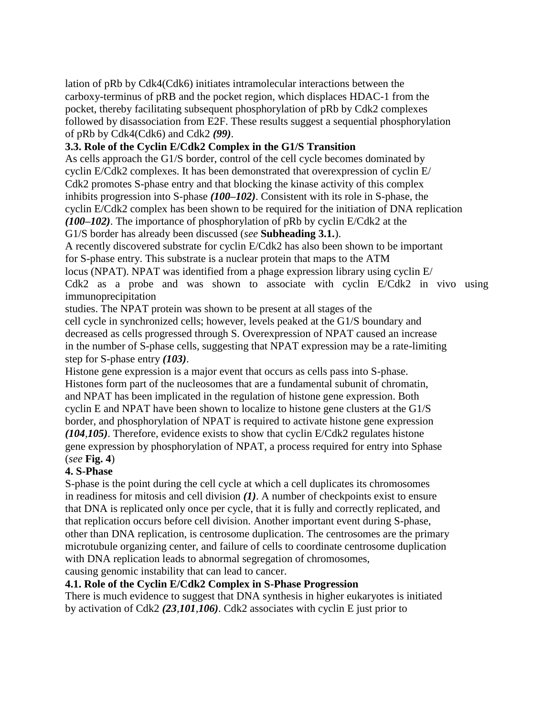lation of pRb by Cdk4(Cdk6) initiates intramolecular interactions between the carboxy-terminus of pRB and the pocket region, which displaces HDAC-1 from the pocket, thereby facilitating subsequent phosphorylation of pRb by Cdk2 complexes followed by disassociation from E2F. These results suggest a sequential phosphorylation of pRb by Cdk4(Cdk6) and Cdk2 *(99)*.

#### **3.3. Role of the Cyclin E/Cdk2 Complex in the G1/S Transition**

As cells approach the G1/S border, control of the cell cycle becomes dominated by cyclin E/Cdk2 complexes. It has been demonstrated that overexpression of cyclin E/ Cdk2 promotes S-phase entry and that blocking the kinase activity of this complex inhibits progression into S-phase *(100–102)*. Consistent with its role in S-phase, the cyclin E/Cdk2 complex has been shown to be required for the initiation of DNA replication *(100–102)*. The importance of phosphorylation of pRb by cyclin E/Cdk2 at the

G1/S border has already been discussed (*see* **Subheading 3.1.**).

A recently discovered substrate for cyclin E/Cdk2 has also been shown to be important for S-phase entry. This substrate is a nuclear protein that maps to the ATM

locus (NPAT). NPAT was identified from a phage expression library using cyclin E/ Cdk2 as a probe and was shown to associate with cyclin E/Cdk2 in vivo using immunoprecipitation

studies. The NPAT protein was shown to be present at all stages of the cell cycle in synchronized cells; however, levels peaked at the G1/S boundary and decreased as cells progressed through S. Overexpression of NPAT caused an increase in the number of S-phase cells, suggesting that NPAT expression may be a rate-limiting step for S-phase entry *(103)*.

Histone gene expression is a major event that occurs as cells pass into S-phase. Histones form part of the nucleosomes that are a fundamental subunit of chromatin, and NPAT has been implicated in the regulation of histone gene expression. Both cyclin E and NPAT have been shown to localize to histone gene clusters at the G1/S border, and phosphorylation of NPAT is required to activate histone gene expression *(104,105)*. Therefore, evidence exists to show that cyclin E/Cdk2 regulates histone gene expression by phosphorylation of NPAT, a process required for entry into Sphase (*see* **Fig. 4**)

#### **4. S-Phase**

S-phase is the point during the cell cycle at which a cell duplicates its chromosomes in readiness for mitosis and cell division *(1)*. A number of checkpoints exist to ensure that DNA is replicated only once per cycle, that it is fully and correctly replicated, and that replication occurs before cell division. Another important event during S-phase, other than DNA replication, is centrosome duplication. The centrosomes are the primary microtubule organizing center, and failure of cells to coordinate centrosome duplication with DNA replication leads to abnormal segregation of chromosomes,

causing genomic instability that can lead to cancer.

#### **4.1. Role of the Cyclin E/Cdk2 Complex in S-Phase Progression**

There is much evidence to suggest that DNA synthesis in higher eukaryotes is initiated by activation of Cdk2 *(23,101,106)*. Cdk2 associates with cyclin E just prior to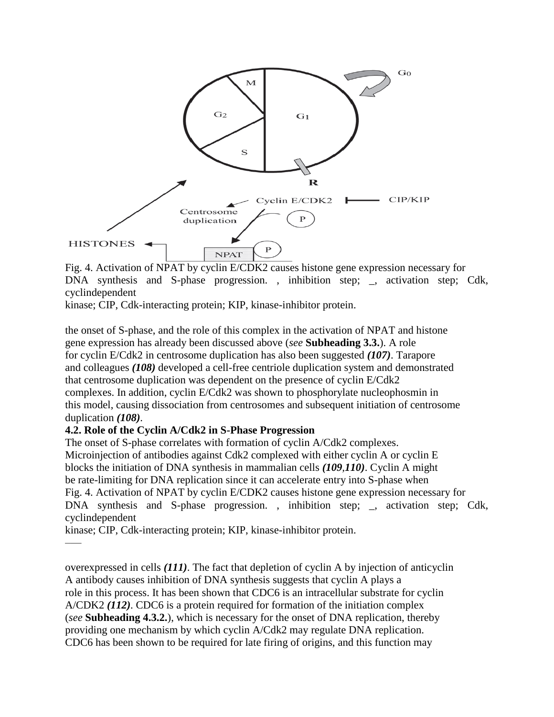

Fig. 4. Activation of NPAT by cyclin E/CDK2 causes histone gene expression necessary for DNA synthesis and S-phase progression., inhibition step; , activation step; Cdk, cyclindependent

kinase; CIP, Cdk-interacting protein; KIP, kinase-inhibitor protein.

the onset of S-phase, and the role of this complex in the activation of NPAT and histone gene expression has already been discussed above (*see* **Subheading 3.3.**). A role for cyclin E/Cdk2 in centrosome duplication has also been suggested *(107)*. Tarapore and colleagues *(108)* developed a cell-free centriole duplication system and demonstrated that centrosome duplication was dependent on the presence of cyclin E/Cdk2 complexes. In addition, cyclin E/Cdk2 was shown to phosphorylate nucleophosmin in this model, causing dissociation from centrosomes and subsequent initiation of centrosome duplication *(108)*.

#### **4.2. Role of the Cyclin A/Cdk2 in S-Phase Progression**

–—

The onset of S-phase correlates with formation of cyclin A/Cdk2 complexes. Microinjection of antibodies against Cdk2 complexed with either cyclin A or cyclin E blocks the initiation of DNA synthesis in mammalian cells *(109,110)*. Cyclin A might be rate-limiting for DNA replication since it can accelerate entry into S-phase when Fig. 4. Activation of NPAT by cyclin E/CDK2 causes histone gene expression necessary for DNA synthesis and S-phase progression., inhibition step; \_, activation step; Cdk, cyclindependent

kinase; CIP, Cdk-interacting protein; KIP, kinase-inhibitor protein.

overexpressed in cells *(111)*. The fact that depletion of cyclin A by injection of anticyclin A antibody causes inhibition of DNA synthesis suggests that cyclin A plays a role in this process. It has been shown that CDC6 is an intracellular substrate for cyclin A/CDK2 *(112)*. CDC6 is a protein required for formation of the initiation complex (*see* **Subheading 4.3.2.**), which is necessary for the onset of DNA replication, thereby providing one mechanism by which cyclin A/Cdk2 may regulate DNA replication. CDC6 has been shown to be required for late firing of origins, and this function may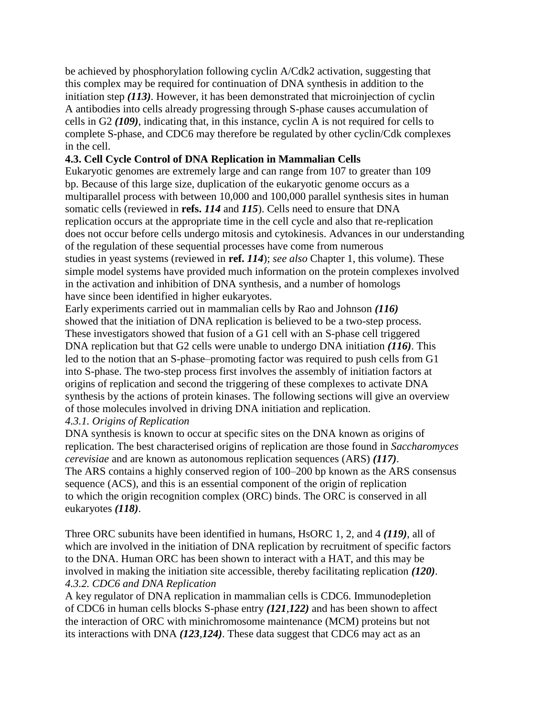be achieved by phosphorylation following cyclin A/Cdk2 activation, suggesting that this complex may be required for continuation of DNA synthesis in addition to the initiation step *(113)*. However, it has been demonstrated that microinjection of cyclin A antibodies into cells already progressing through S-phase causes accumulation of cells in G2 *(109)*, indicating that, in this instance, cyclin A is not required for cells to complete S-phase, and CDC6 may therefore be regulated by other cyclin/Cdk complexes in the cell.

#### **4.3. Cell Cycle Control of DNA Replication in Mammalian Cells**

Eukaryotic genomes are extremely large and can range from 107 to greater than 109 bp. Because of this large size, duplication of the eukaryotic genome occurs as a multiparallel process with between 10,000 and 100,000 parallel synthesis sites in human somatic cells (reviewed in **refs.** *114* and *115*). Cells need to ensure that DNA replication occurs at the appropriate time in the cell cycle and also that re-replication does not occur before cells undergo mitosis and cytokinesis. Advances in our understanding of the regulation of these sequential processes have come from numerous studies in yeast systems (reviewed in **ref.** *114*); *see also* Chapter 1, this volume). These simple model systems have provided much information on the protein complexes involved in the activation and inhibition of DNA synthesis, and a number of homologs have since been identified in higher eukaryotes.

Early experiments carried out in mammalian cells by Rao and Johnson *(116)* showed that the initiation of DNA replication is believed to be a two-step process. These investigators showed that fusion of a G1 cell with an S-phase cell triggered DNA replication but that G2 cells were unable to undergo DNA initiation *(116)*. This led to the notion that an S-phase–promoting factor was required to push cells from G1 into S-phase. The two-step process first involves the assembly of initiation factors at origins of replication and second the triggering of these complexes to activate DNA synthesis by the actions of protein kinases. The following sections will give an overview of those molecules involved in driving DNA initiation and replication.

#### *4.3.1. Origins of Replication*

DNA synthesis is known to occur at specific sites on the DNA known as origins of replication. The best characterised origins of replication are those found in *Saccharomyces cerevisiae* and are known as autonomous replication sequences (ARS) *(117)*. The ARS contains a highly conserved region of 100–200 bp known as the ARS consensus sequence (ACS), and this is an essential component of the origin of replication to which the origin recognition complex (ORC) binds. The ORC is conserved in all eukaryotes *(118)*.

Three ORC subunits have been identified in humans, HsORC 1, 2, and 4 *(119)*, all of which are involved in the initiation of DNA replication by recruitment of specific factors to the DNA. Human ORC has been shown to interact with a HAT, and this may be involved in making the initiation site accessible, thereby facilitating replication *(120)*. *4.3.2. CDC6 and DNA Replication*

A key regulator of DNA replication in mammalian cells is CDC6. Immunodepletion of CDC6 in human cells blocks S-phase entry *(121,122)* and has been shown to affect the interaction of ORC with minichromosome maintenance (MCM) proteins but not its interactions with DNA *(123,124)*. These data suggest that CDC6 may act as an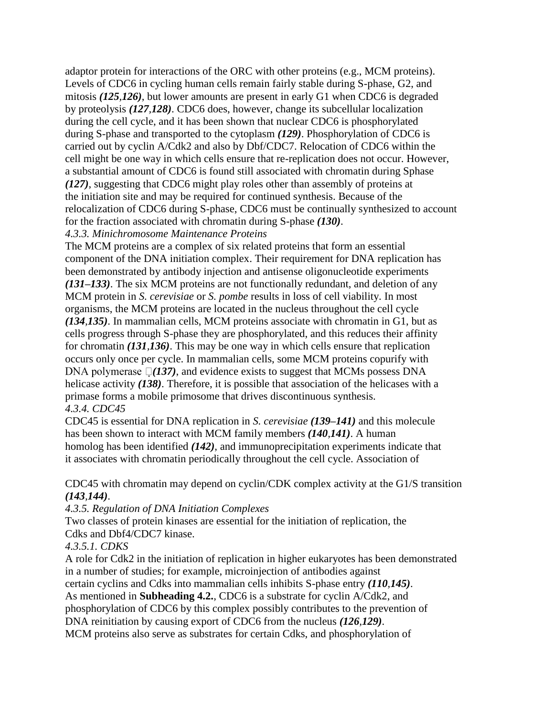adaptor protein for interactions of the ORC with other proteins (e.g., MCM proteins). Levels of CDC6 in cycling human cells remain fairly stable during S-phase, G2, and mitosis *(125,126)*, but lower amounts are present in early G1 when CDC6 is degraded by proteolysis *(127,128)*. CDC6 does, however, change its subcellular localization during the cell cycle, and it has been shown that nuclear CDC6 is phosphorylated during S-phase and transported to the cytoplasm *(129)*. Phosphorylation of CDC6 is carried out by cyclin A/Cdk2 and also by Dbf/CDC7. Relocation of CDC6 within the cell might be one way in which cells ensure that re-replication does not occur. However, a substantial amount of CDC6 is found still associated with chromatin during Sphase *(127)*, suggesting that CDC6 might play roles other than assembly of proteins at the initiation site and may be required for continued synthesis. Because of the relocalization of CDC6 during S-phase, CDC6 must be continually synthesized to account for the fraction associated with chromatin during S-phase *(130)*.

#### *4.3.3. Minichromosome Maintenance Proteins*

The MCM proteins are a complex of six related proteins that form an essential component of the DNA initiation complex. Their requirement for DNA replication has been demonstrated by antibody injection and antisense oligonucleotide experiments *(131–133)*. The six MCM proteins are not functionally redundant, and deletion of any MCM protein in *S. cerevisiae* or *S. pombe* results in loss of cell viability. In most organisms, the MCM proteins are located in the nucleus throughout the cell cycle *(134,135)*. In mammalian cells, MCM proteins associate with chromatin in G1, but as cells progress through S-phase they are phosphorylated, and this reduces their affinity for chromatin *(131,136)*. This may be one way in which cells ensure that replication occurs only once per cycle. In mammalian cells, some MCM proteins copurify with DNA polymerase  $\Box(137)$ , and evidence exists to suggest that MCMs possess DNA helicase activity *(138)*. Therefore, it is possible that association of the helicases with a primase forms a mobile primosome that drives discontinuous synthesis. *4.3.4. CDC45*

CDC45 is essential for DNA replication in *S. cerevisiae (139–141)* and this molecule has been shown to interact with MCM family members *(140,141)*. A human homolog has been identified *(142)*, and immunoprecipitation experiments indicate that it associates with chromatin periodically throughout the cell cycle. Association of

CDC45 with chromatin may depend on cyclin/CDK complex activity at the G1/S transition *(143,144)*.

#### *4.3.5. Regulation of DNA Initiation Complexes*

Two classes of protein kinases are essential for the initiation of replication, the Cdks and Dbf4/CDC7 kinase.

#### *4.3.5.1. CDKS*

A role for Cdk2 in the initiation of replication in higher eukaryotes has been demonstrated in a number of studies; for example, microinjection of antibodies against certain cyclins and Cdks into mammalian cells inhibits S-phase entry *(110,145)*. As mentioned in **Subheading 4.2.**, CDC6 is a substrate for cyclin A/Cdk2, and phosphorylation of CDC6 by this complex possibly contributes to the prevention of DNA reinitiation by causing export of CDC6 from the nucleus *(126,129)*. MCM proteins also serve as substrates for certain Cdks, and phosphorylation of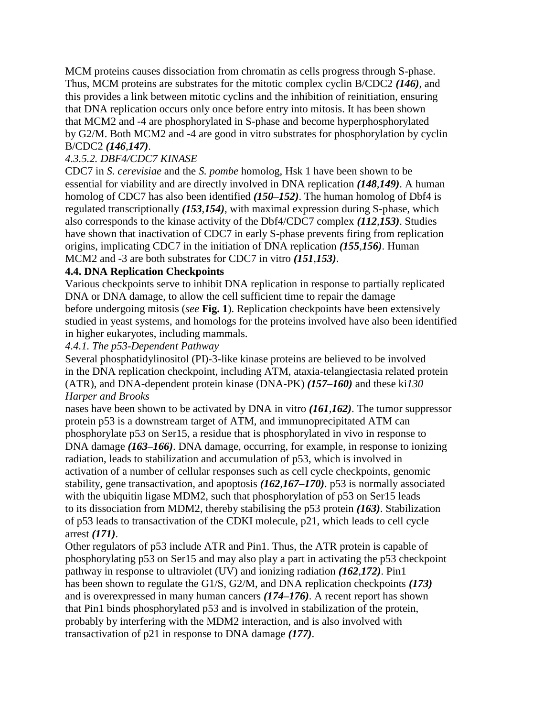MCM proteins causes dissociation from chromatin as cells progress through S-phase. Thus, MCM proteins are substrates for the mitotic complex cyclin B/CDC2 *(146)*, and this provides a link between mitotic cyclins and the inhibition of reinitiation, ensuring that DNA replication occurs only once before entry into mitosis. It has been shown that MCM2 and -4 are phosphorylated in S-phase and become hyperphosphorylated by G2/M. Both MCM2 and -4 are good in vitro substrates for phosphorylation by cyclin B/CDC2 *(146,147)*.

#### *4.3.5.2. DBF4/CDC7 KINASE*

CDC7 in *S. cerevisiae* and the *S. pombe* homolog, Hsk 1 have been shown to be essential for viability and are directly involved in DNA replication *(148,149)*. A human homolog of CDC7 has also been identified *(150–152)*. The human homolog of Dbf4 is regulated transcriptionally *(153,154)*, with maximal expression during S-phase, which also corresponds to the kinase activity of the Dbf4/CDC7 complex *(112,153)*. Studies have shown that inactivation of CDC7 in early S-phase prevents firing from replication origins, implicating CDC7 in the initiation of DNA replication *(155,156)*. Human MCM2 and -3 are both substrates for CDC7 in vitro *(151,153)*.

#### **4.4. DNA Replication Checkpoints**

Various checkpoints serve to inhibit DNA replication in response to partially replicated DNA or DNA damage, to allow the cell sufficient time to repair the damage before undergoing mitosis (*see* **Fig. 1**). Replication checkpoints have been extensively studied in yeast systems, and homologs for the proteins involved have also been identified in higher eukaryotes, including mammals.

*4.4.1. The p53-Dependent Pathway*

Several phosphatidylinositol (PI)-3-like kinase proteins are believed to be involved in the DNA replication checkpoint, including ATM, ataxia-telangiectasia related protein (ATR), and DNA-dependent protein kinase (DNA-PK) *(157–160)* and these ki*130 Harper and Brooks*

nases have been shown to be activated by DNA in vitro *(161,162)*. The tumor suppressor protein p53 is a downstream target of ATM, and immunoprecipitated ATM can phosphorylate p53 on Ser15, a residue that is phosphorylated in vivo in response to DNA damage *(163–166)*. DNA damage, occurring, for example, in response to ionizing radiation, leads to stabilization and accumulation of p53, which is involved in activation of a number of cellular responses such as cell cycle checkpoints, genomic stability, gene transactivation, and apoptosis *(162,167–170)*. p53 is normally associated with the ubiquitin ligase MDM2, such that phosphorylation of p53 on Ser15 leads to its dissociation from MDM2, thereby stabilising the p53 protein *(163)*. Stabilization of p53 leads to transactivation of the CDKI molecule, p21, which leads to cell cycle arrest *(171)*.

Other regulators of p53 include ATR and Pin1. Thus, the ATR protein is capable of phosphorylating p53 on Ser15 and may also play a part in activating the p53 checkpoint pathway in response to ultraviolet (UV) and ionizing radiation *(162,172)*. Pin1 has been shown to regulate the G1/S, G2/M, and DNA replication checkpoints *(173)* and is overexpressed in many human cancers *(174–176)*. A recent report has shown that Pin1 binds phosphorylated p53 and is involved in stabilization of the protein, probably by interfering with the MDM2 interaction, and is also involved with transactivation of p21 in response to DNA damage *(177)*.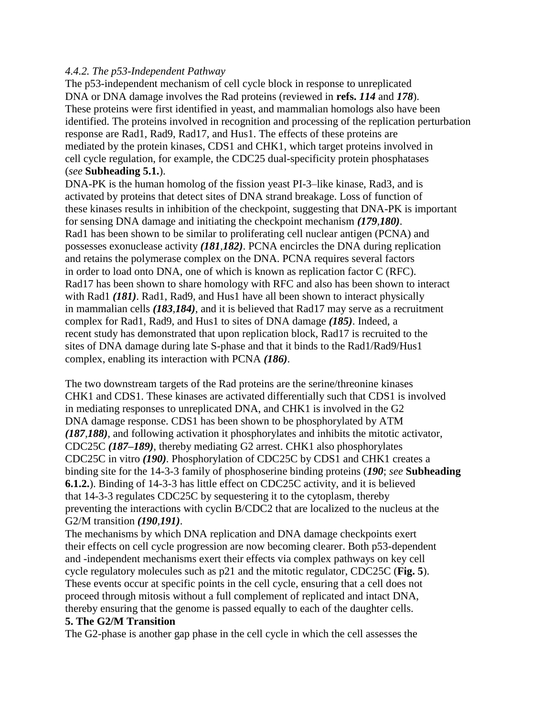#### *4.4.2. The p53-Independent Pathway*

The p53-independent mechanism of cell cycle block in response to unreplicated DNA or DNA damage involves the Rad proteins (reviewed in **refs.** *114* and *178*). These proteins were first identified in yeast, and mammalian homologs also have been identified. The proteins involved in recognition and processing of the replication perturbation response are Rad1, Rad9, Rad17, and Hus1. The effects of these proteins are mediated by the protein kinases, CDS1 and CHK1, which target proteins involved in cell cycle regulation, for example, the CDC25 dual-specificity protein phosphatases (*see* **Subheading 5.1.**).

DNA-PK is the human homolog of the fission yeast PI-3–like kinase, Rad3, and is activated by proteins that detect sites of DNA strand breakage. Loss of function of these kinases results in inhibition of the checkpoint, suggesting that DNA-PK is important for sensing DNA damage and initiating the checkpoint mechanism *(179,180)*. Rad1 has been shown to be similar to proliferating cell nuclear antigen (PCNA) and possesses exonuclease activity *(181,182)*. PCNA encircles the DNA during replication and retains the polymerase complex on the DNA. PCNA requires several factors in order to load onto DNA, one of which is known as replication factor C (RFC). Rad17 has been shown to share homology with RFC and also has been shown to interact with Rad1 (181). Rad1, Rad9, and Hus1 have all been shown to interact physically in mammalian cells *(183,184)*, and it is believed that Rad17 may serve as a recruitment complex for Rad1, Rad9, and Hus1 to sites of DNA damage *(185)*. Indeed, a recent study has demonstrated that upon replication block, Rad17 is recruited to the sites of DNA damage during late S-phase and that it binds to the Rad1/Rad9/Hus1 complex, enabling its interaction with PCNA *(186)*.

The two downstream targets of the Rad proteins are the serine/threonine kinases CHK1 and CDS1. These kinases are activated differentially such that CDS1 is involved in mediating responses to unreplicated DNA, and CHK1 is involved in the G2 DNA damage response. CDS1 has been shown to be phosphorylated by ATM *(187,188)*, and following activation it phosphorylates and inhibits the mitotic activator, CDC25C *(187–189)*, thereby mediating G2 arrest. CHK1 also phosphorylates CDC25C in vitro *(190)*. Phosphorylation of CDC25C by CDS1 and CHK1 creates a binding site for the 14-3-3 family of phosphoserine binding proteins (*190*; *see* **Subheading 6.1.2.**). Binding of 14-3-3 has little effect on CDC25C activity, and it is believed that 14-3-3 regulates CDC25C by sequestering it to the cytoplasm, thereby preventing the interactions with cyclin B/CDC2 that are localized to the nucleus at the G2/M transition *(190,191)*.

The mechanisms by which DNA replication and DNA damage checkpoints exert their effects on cell cycle progression are now becoming clearer. Both p53-dependent and -independent mechanisms exert their effects via complex pathways on key cell cycle regulatory molecules such as p21 and the mitotic regulator, CDC25C (**Fig. 5**). These events occur at specific points in the cell cycle, ensuring that a cell does not proceed through mitosis without a full complement of replicated and intact DNA, thereby ensuring that the genome is passed equally to each of the daughter cells.

#### **5. The G2/M Transition**

The G2-phase is another gap phase in the cell cycle in which the cell assesses the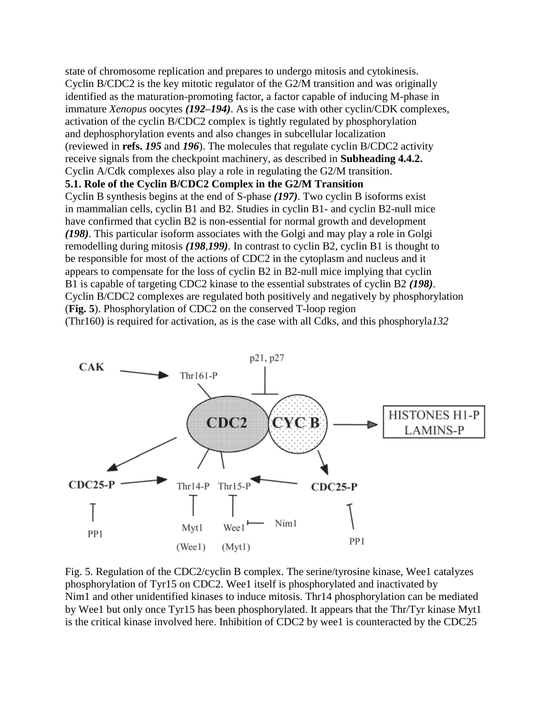state of chromosome replication and prepares to undergo mitosis and cytokinesis. Cyclin B/CDC2 is the key mitotic regulator of the G2/M transition and was originally identified as the maturation-promoting factor, a factor capable of inducing M-phase in immature *Xenopus* oocytes *(192–194)*. As is the case with other cyclin/CDK complexes, activation of the cyclin B/CDC2 complex is tightly regulated by phosphorylation and dephosphorylation events and also changes in subcellular localization (reviewed in **refs.** *195* and *196*). The molecules that regulate cyclin B/CDC2 activity receive signals from the checkpoint machinery, as described in **Subheading 4.4.2.** Cyclin A/Cdk complexes also play a role in regulating the G2/M transition. **5.1. Role of the Cyclin B/CDC2 Complex in the G2/M Transition** Cyclin B synthesis begins at the end of S-phase *(197)*. Two cyclin B isoforms exist in mammalian cells, cyclin B1 and B2. Studies in cyclin B1- and cyclin B2-null mice have confirmed that cyclin B2 is non-essential for normal growth and development *(198)*. This particular isoform associates with the Golgi and may play a role in Golgi remodelling during mitosis *(198,199)*. In contrast to cyclin B2, cyclin B1 is thought to be responsible for most of the actions of CDC2 in the cytoplasm and nucleus and it appears to compensate for the loss of cyclin B2 in B2-null mice implying that cyclin B1 is capable of targeting CDC2 kinase to the essential substrates of cyclin B2 *(198)*. Cyclin B/CDC2 complexes are regulated both positively and negatively by phosphorylation (**Fig. 5**). Phosphorylation of CDC2 on the conserved T-loop region (Thr160) is required for activation, as is the case with all Cdks, and this phosphoryla*132*



Fig. 5. Regulation of the CDC2/cyclin B complex. The serine/tyrosine kinase, Wee1 catalyzes phosphorylation of Tyr15 on CDC2. Wee1 itself is phosphorylated and inactivated by Nim1 and other unidentified kinases to induce mitosis. Thr14 phosphorylation can be mediated by Wee1 but only once Tyr15 has been phosphorylated. It appears that the Thr/Tyr kinase Myt1 is the critical kinase involved here. Inhibition of CDC2 by wee1 is counteracted by the CDC25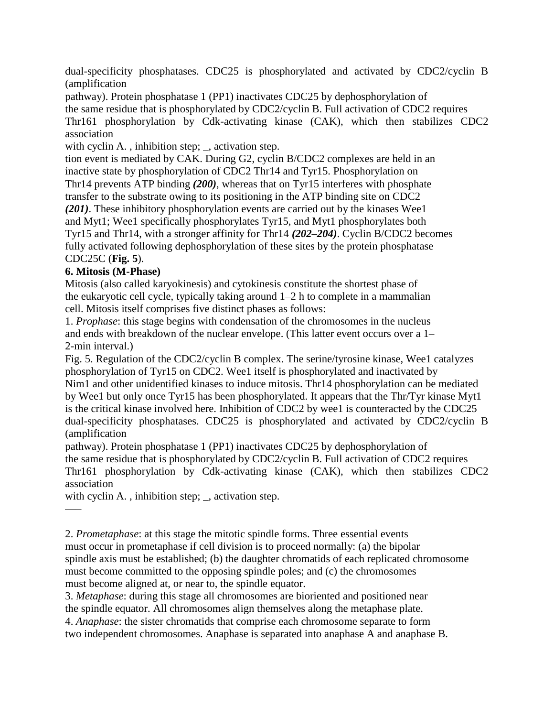dual-specificity phosphatases. CDC25 is phosphorylated and activated by CDC2/cyclin B (amplification

pathway). Protein phosphatase 1 (PP1) inactivates CDC25 by dephosphorylation of

the same residue that is phosphorylated by CDC2/cyclin B. Full activation of CDC2 requires Thr161 phosphorylation by Cdk-activating kinase (CAK), which then stabilizes CDC2 association

with cyclin A., inhibition step; \_, activation step.

tion event is mediated by CAK. During G2, cyclin B/CDC2 complexes are held in an inactive state by phosphorylation of CDC2 Thr14 and Tyr15. Phosphorylation on Thr14 prevents ATP binding *(200)*, whereas that on Tyr15 interferes with phosphate transfer to the substrate owing to its positioning in the ATP binding site on CDC2 *(201)*. These inhibitory phosphorylation events are carried out by the kinases Wee1 and Myt1; Wee1 specifically phosphorylates Tyr15, and Myt1 phosphorylates both Tyr15 and Thr14, with a stronger affinity for Thr14 *(202–204)*. Cyclin B/CDC2 becomes fully activated following dephosphorylation of these sites by the protein phosphatase CDC25C (**Fig. 5**).

#### **6. Mitosis (M-Phase)**

—–

Mitosis (also called karyokinesis) and cytokinesis constitute the shortest phase of the eukaryotic cell cycle, typically taking around 1–2 h to complete in a mammalian cell. Mitosis itself comprises five distinct phases as follows:

1. *Prophase*: this stage begins with condensation of the chromosomes in the nucleus and ends with breakdown of the nuclear envelope. (This latter event occurs over a 1– 2-min interval.)

Fig. 5. Regulation of the CDC2/cyclin B complex. The serine/tyrosine kinase, Wee1 catalyzes phosphorylation of Tyr15 on CDC2. Wee1 itself is phosphorylated and inactivated by Nim1 and other unidentified kinases to induce mitosis. Thr14 phosphorylation can be mediated by Wee1 but only once Tyr15 has been phosphorylated. It appears that the Thr/Tyr kinase Myt1 is the critical kinase involved here. Inhibition of CDC2 by wee1 is counteracted by the CDC25 dual-specificity phosphatases. CDC25 is phosphorylated and activated by CDC2/cyclin B (amplification

pathway). Protein phosphatase 1 (PP1) inactivates CDC25 by dephosphorylation of the same residue that is phosphorylated by CDC2/cyclin B. Full activation of CDC2 requires Thr161 phosphorylation by Cdk-activating kinase (CAK), which then stabilizes CDC2 association

with cyclin A., inhibition step; \_, activation step.

2. *Prometaphase*: at this stage the mitotic spindle forms. Three essential events must occur in prometaphase if cell division is to proceed normally: (a) the bipolar spindle axis must be established; (b) the daughter chromatids of each replicated chromosome must become committed to the opposing spindle poles; and (c) the chromosomes must become aligned at, or near to, the spindle equator.

3. *Metaphase*: during this stage all chromosomes are bioriented and positioned near the spindle equator. All chromosomes align themselves along the metaphase plate. 4. *Anaphase*: the sister chromatids that comprise each chromosome separate to form two independent chromosomes. Anaphase is separated into anaphase A and anaphase B.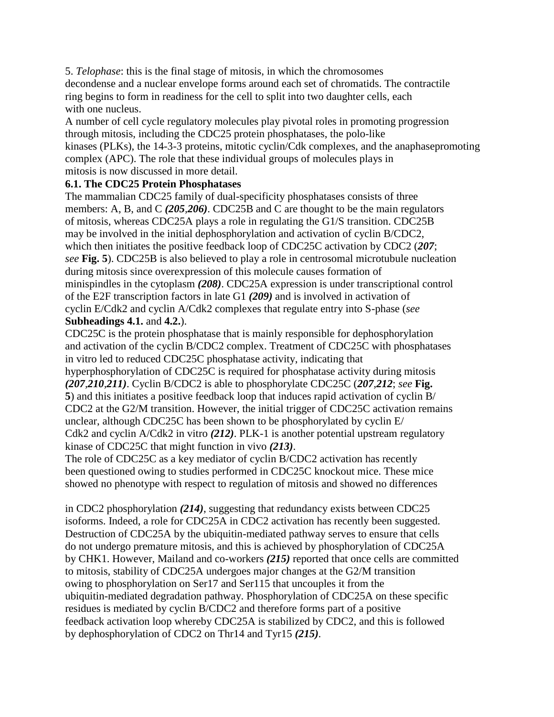5. *Telophase*: this is the final stage of mitosis, in which the chromosomes decondense and a nuclear envelope forms around each set of chromatids. The contractile ring begins to form in readiness for the cell to split into two daughter cells, each with one nucleus.

A number of cell cycle regulatory molecules play pivotal roles in promoting progression through mitosis, including the CDC25 protein phosphatases, the polo-like kinases (PLKs), the 14-3-3 proteins, mitotic cyclin/Cdk complexes, and the anaphasepromoting complex (APC). The role that these individual groups of molecules plays in mitosis is now discussed in more detail.

#### **6.1. The CDC25 Protein Phosphatases**

The mammalian CDC25 family of dual-specificity phosphatases consists of three members: A, B, and C *(205,206)*. CDC25B and C are thought to be the main regulators of mitosis, whereas CDC25A plays a role in regulating the G1/S transition. CDC25B may be involved in the initial dephosphorylation and activation of cyclin B/CDC2, which then initiates the positive feedback loop of CDC25C activation by CDC2 (*207*; *see* **Fig. 5**). CDC25B is also believed to play a role in centrosomal microtubule nucleation during mitosis since overexpression of this molecule causes formation of minispindles in the cytoplasm *(208)*. CDC25A expression is under transcriptional control of the E2F transcription factors in late G1 *(209)* and is involved in activation of cyclin E/Cdk2 and cyclin A/Cdk2 complexes that regulate entry into S-phase (*see* **Subheadings 4.1.** and **4.2.**).

CDC25C is the protein phosphatase that is mainly responsible for dephosphorylation and activation of the cyclin B/CDC2 complex. Treatment of CDC25C with phosphatases in vitro led to reduced CDC25C phosphatase activity, indicating that hyperphosphorylation of CDC25C is required for phosphatase activity during mitosis *(207,210,211)*. Cyclin B/CDC2 is able to phosphorylate CDC25C (*207,212*; *see* **Fig. 5**) and this initiates a positive feedback loop that induces rapid activation of cyclin B/ CDC2 at the G2/M transition. However, the initial trigger of CDC25C activation remains unclear, although CDC25C has been shown to be phosphorylated by cyclin E/ Cdk2 and cyclin A/Cdk2 in vitro *(212)*. PLK-1 is another potential upstream regulatory kinase of CDC25C that might function in vivo *(213)*.

The role of CDC25C as a key mediator of cyclin B/CDC2 activation has recently been questioned owing to studies performed in CDC25C knockout mice. These mice showed no phenotype with respect to regulation of mitosis and showed no differences

in CDC2 phosphorylation *(214)*, suggesting that redundancy exists between CDC25 isoforms. Indeed, a role for CDC25A in CDC2 activation has recently been suggested. Destruction of CDC25A by the ubiquitin-mediated pathway serves to ensure that cells do not undergo premature mitosis, and this is achieved by phosphorylation of CDC25A by CHK1. However, Mailand and co-workers *(215)* reported that once cells are committed to mitosis, stability of CDC25A undergoes major changes at the G2/M transition owing to phosphorylation on Ser17 and Ser115 that uncouples it from the ubiquitin-mediated degradation pathway. Phosphorylation of CDC25A on these specific residues is mediated by cyclin B/CDC2 and therefore forms part of a positive feedback activation loop whereby CDC25A is stabilized by CDC2, and this is followed by dephosphorylation of CDC2 on Thr14 and Tyr15 *(215)*.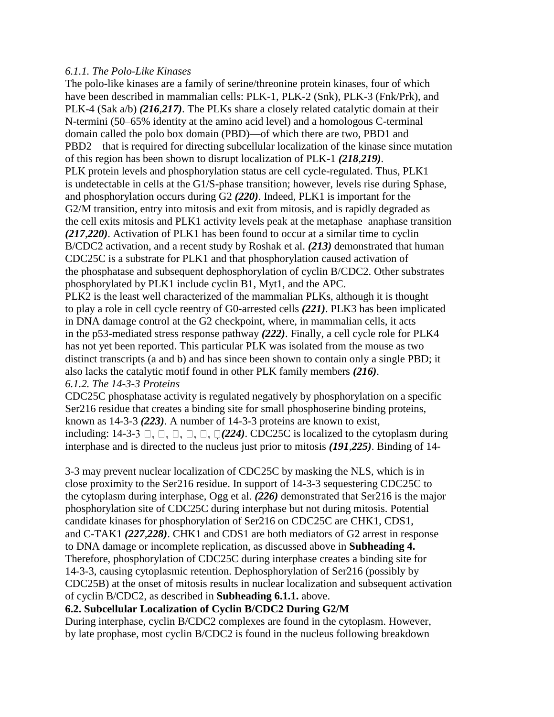#### *6.1.1. The Polo-Like Kinases*

The polo-like kinases are a family of serine/threonine protein kinases, four of which have been described in mammalian cells: PLK-1, PLK-2 (Snk), PLK-3 (Fnk/Prk), and PLK-4 (Sak a/b) *(216,217)*. The PLKs share a closely related catalytic domain at their N-termini (50–65% identity at the amino acid level) and a homologous C-terminal domain called the polo box domain (PBD)—of which there are two, PBD1 and PBD2—that is required for directing subcellular localization of the kinase since mutation of this region has been shown to disrupt localization of PLK-1 *(218,219)*. PLK protein levels and phosphorylation status are cell cycle-regulated. Thus, PLK1 is undetectable in cells at the G1/S-phase transition; however, levels rise during Sphase, and phosphorylation occurs during G2 *(220)*. Indeed, PLK1 is important for the G2/M transition, entry into mitosis and exit from mitosis, and is rapidly degraded as the cell exits mitosis and PLK1 activity levels peak at the metaphase–anaphase transition *(217,220)*. Activation of PLK1 has been found to occur at a similar time to cyclin B/CDC2 activation, and a recent study by Roshak et al. *(213)* demonstrated that human CDC25C is a substrate for PLK1 and that phosphorylation caused activation of the phosphatase and subsequent dephosphorylation of cyclin B/CDC2. Other substrates phosphorylated by PLK1 include cyclin B1, Myt1, and the APC. PLK2 is the least well characterized of the mammalian PLKs, although it is thought to play a role in cell cycle reentry of G0-arrested cells *(221)*. PLK3 has been implicated in DNA damage control at the G2 checkpoint, where, in mammalian cells, it acts in the p53-mediated stress response pathway *(222)*. Finally, a cell cycle role for PLK4 has not yet been reported. This particular PLK was isolated from the mouse as two distinct transcripts (a and b) and has since been shown to contain only a single PBD; it also lacks the catalytic motif found in other PLK family members *(216)*. *6.1.2. The 14-3-3 Proteins*

CDC25C phosphatase activity is regulated negatively by phosphorylation on a specific Ser216 residue that creates a binding site for small phosphoserine binding proteins, known as 14-3-3 *(223)*. A number of 14-3-3 proteins are known to exist, including: 14-3-3  $\Box$ ,  $\Box$ ,  $\Box$ ,  $\Box$ ,  $\Box$ (224). CDC25C is localized to the cytoplasm during interphase and is directed to the nucleus just prior to mitosis *(191,225)*. Binding of 14-

3-3 may prevent nuclear localization of CDC25C by masking the NLS, which is in close proximity to the Ser216 residue. In support of 14-3-3 sequestering CDC25C to the cytoplasm during interphase, Ogg et al. *(226)* demonstrated that Ser216 is the major phosphorylation site of CDC25C during interphase but not during mitosis. Potential candidate kinases for phosphorylation of Ser216 on CDC25C are CHK1, CDS1, and C-TAK1 *(227,228)*. CHK1 and CDS1 are both mediators of G2 arrest in response to DNA damage or incomplete replication, as discussed above in **Subheading 4.** Therefore, phosphorylation of CDC25C during interphase creates a binding site for 14-3-3, causing cytoplasmic retention. Dephosphorylation of Ser216 (possibly by CDC25B) at the onset of mitosis results in nuclear localization and subsequent activation of cyclin B/CDC2, as described in **Subheading 6.1.1.** above.

#### **6.2. Subcellular Localization of Cyclin B/CDC2 During G2/M**

During interphase, cyclin B/CDC2 complexes are found in the cytoplasm. However, by late prophase, most cyclin B/CDC2 is found in the nucleus following breakdown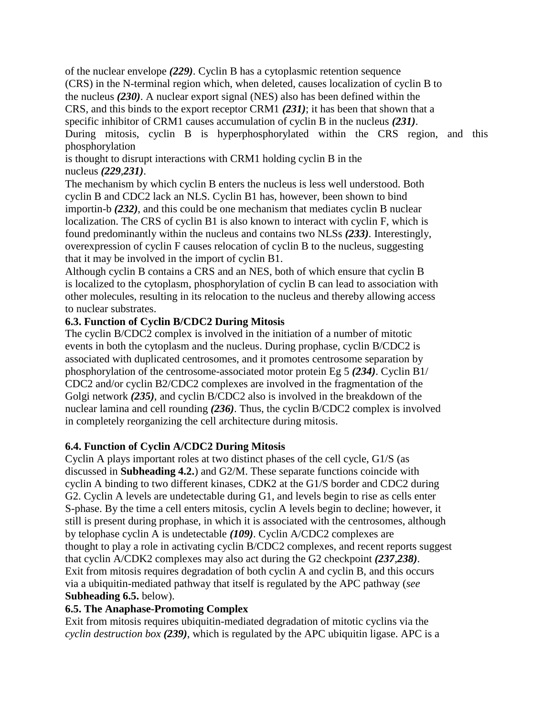of the nuclear envelope *(229)*. Cyclin B has a cytoplasmic retention sequence

(CRS) in the N-terminal region which, when deleted, causes localization of cyclin B to

the nucleus *(230)*. A nuclear export signal (NES) also has been defined within the

CRS, and this binds to the export receptor CRM1 *(231)*; it has been that shown that a

specific inhibitor of CRM1 causes accumulation of cyclin B in the nucleus *(231)*.

During mitosis, cyclin B is hyperphosphorylated within the CRS region, and this phosphorylation

is thought to disrupt interactions with CRM1 holding cyclin B in the nucleus *(229,231)*.

The mechanism by which cyclin B enters the nucleus is less well understood. Both cyclin B and CDC2 lack an NLS. Cyclin B1 has, however, been shown to bind importin-b *(232)*, and this could be one mechanism that mediates cyclin B nuclear localization. The CRS of cyclin B1 is also known to interact with cyclin F, which is found predominantly within the nucleus and contains two NLSs *(233)*. Interestingly, overexpression of cyclin F causes relocation of cyclin B to the nucleus, suggesting that it may be involved in the import of cyclin B1.

Although cyclin B contains a CRS and an NES, both of which ensure that cyclin B is localized to the cytoplasm, phosphorylation of cyclin B can lead to association with other molecules, resulting in its relocation to the nucleus and thereby allowing access to nuclear substrates.

#### **6.3. Function of Cyclin B/CDC2 During Mitosis**

The cyclin B/CDC2 complex is involved in the initiation of a number of mitotic events in both the cytoplasm and the nucleus. During prophase, cyclin B/CDC2 is associated with duplicated centrosomes, and it promotes centrosome separation by phosphorylation of the centrosome-associated motor protein Eg 5 *(234)*. Cyclin B1/ CDC2 and/or cyclin B2/CDC2 complexes are involved in the fragmentation of the Golgi network *(235)*, and cyclin B/CDC2 also is involved in the breakdown of the nuclear lamina and cell rounding *(236)*. Thus, the cyclin B/CDC2 complex is involved in completely reorganizing the cell architecture during mitosis.

#### **6.4. Function of Cyclin A/CDC2 During Mitosis**

Cyclin A plays important roles at two distinct phases of the cell cycle, G1/S (as discussed in **Subheading 4.2.**) and G2/M. These separate functions coincide with cyclin A binding to two different kinases, CDK2 at the G1/S border and CDC2 during G2. Cyclin A levels are undetectable during G1, and levels begin to rise as cells enter S-phase. By the time a cell enters mitosis, cyclin A levels begin to decline; however, it still is present during prophase, in which it is associated with the centrosomes, although by telophase cyclin A is undetectable *(109)*. Cyclin A/CDC2 complexes are thought to play a role in activating cyclin B/CDC2 complexes, and recent reports suggest that cyclin A/CDK2 complexes may also act during the G2 checkpoint *(237,238)*. Exit from mitosis requires degradation of both cyclin A and cyclin B, and this occurs via a ubiquitin-mediated pathway that itself is regulated by the APC pathway (*see* **Subheading 6.5.** below).

#### **6.5. The Anaphase-Promoting Complex**

Exit from mitosis requires ubiquitin-mediated degradation of mitotic cyclins via the *cyclin destruction box (239)*, which is regulated by the APC ubiquitin ligase. APC is a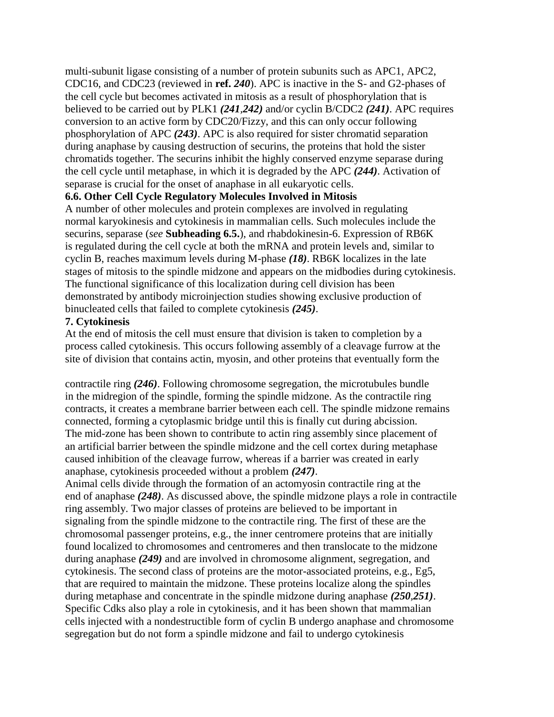multi-subunit ligase consisting of a number of protein subunits such as APC1, APC2, CDC16, and CDC23 (reviewed in **ref.** *240*). APC is inactive in the S- and G2-phases of the cell cycle but becomes activated in mitosis as a result of phosphorylation that is believed to be carried out by PLK1 *(241,242)* and/or cyclin B/CDC2 *(241)*. APC requires conversion to an active form by CDC20/Fizzy, and this can only occur following phosphorylation of APC *(243)*. APC is also required for sister chromatid separation during anaphase by causing destruction of securins, the proteins that hold the sister chromatids together. The securins inhibit the highly conserved enzyme separase during the cell cycle until metaphase, in which it is degraded by the APC *(244)*. Activation of separase is crucial for the onset of anaphase in all eukaryotic cells.

#### **6.6. Other Cell Cycle Regulatory Molecules Involved in Mitosis**

A number of other molecules and protein complexes are involved in regulating normal karyokinesis and cytokinesis in mammalian cells. Such molecules include the securins, separase (*see* **Subheading 6.5.**), and rhabdokinesin-6. Expression of RB6K is regulated during the cell cycle at both the mRNA and protein levels and, similar to cyclin B, reaches maximum levels during M-phase *(18)*. RB6K localizes in the late stages of mitosis to the spindle midzone and appears on the midbodies during cytokinesis. The functional significance of this localization during cell division has been demonstrated by antibody microinjection studies showing exclusive production of binucleated cells that failed to complete cytokinesis *(245)*.

#### **7. Cytokinesis**

At the end of mitosis the cell must ensure that division is taken to completion by a process called cytokinesis. This occurs following assembly of a cleavage furrow at the site of division that contains actin, myosin, and other proteins that eventually form the

contractile ring *(246)*. Following chromosome segregation, the microtubules bundle in the midregion of the spindle, forming the spindle midzone. As the contractile ring contracts, it creates a membrane barrier between each cell. The spindle midzone remains connected, forming a cytoplasmic bridge until this is finally cut during abcission. The mid-zone has been shown to contribute to actin ring assembly since placement of an artificial barrier between the spindle midzone and the cell cortex during metaphase caused inhibition of the cleavage furrow, whereas if a barrier was created in early anaphase, cytokinesis proceeded without a problem *(247)*.

Animal cells divide through the formation of an actomyosin contractile ring at the end of anaphase *(248)*. As discussed above, the spindle midzone plays a role in contractile ring assembly. Two major classes of proteins are believed to be important in signaling from the spindle midzone to the contractile ring. The first of these are the chromosomal passenger proteins, e.g., the inner centromere proteins that are initially found localized to chromosomes and centromeres and then translocate to the midzone during anaphase *(249)* and are involved in chromosome alignment, segregation, and cytokinesis. The second class of proteins are the motor-associated proteins, e.g., Eg5, that are required to maintain the midzone. These proteins localize along the spindles during metaphase and concentrate in the spindle midzone during anaphase *(250,251)*. Specific Cdks also play a role in cytokinesis, and it has been shown that mammalian cells injected with a nondestructible form of cyclin B undergo anaphase and chromosome segregation but do not form a spindle midzone and fail to undergo cytokinesis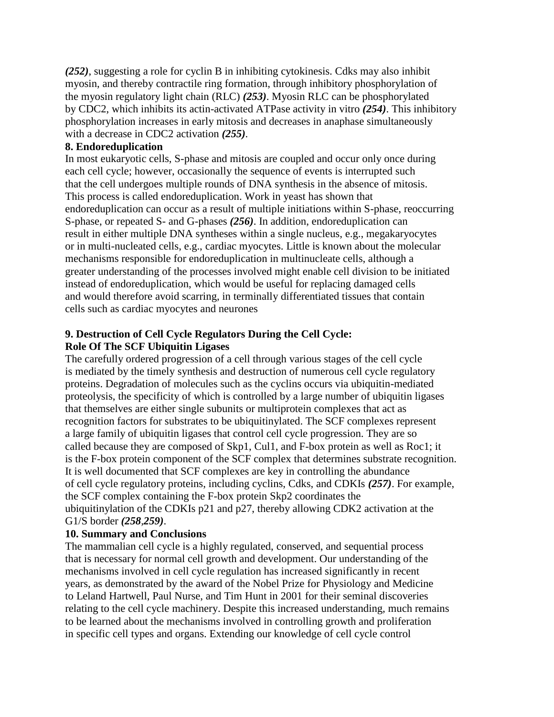*(252)*, suggesting a role for cyclin B in inhibiting cytokinesis. Cdks may also inhibit myosin, and thereby contractile ring formation, through inhibitory phosphorylation of the myosin regulatory light chain (RLC) *(253)*. Myosin RLC can be phosphorylated by CDC2, which inhibits its actin-activated ATPase activity in vitro *(254)*. This inhibitory phosphorylation increases in early mitosis and decreases in anaphase simultaneously with a decrease in CDC2 activation *(255)*.

#### **8. Endoreduplication**

In most eukaryotic cells, S-phase and mitosis are coupled and occur only once during each cell cycle; however, occasionally the sequence of events is interrupted such that the cell undergoes multiple rounds of DNA synthesis in the absence of mitosis. This process is called endoreduplication. Work in yeast has shown that endoreduplication can occur as a result of multiple initiations within S-phase, reoccurring S-phase, or repeated S- and G-phases *(256)*. In addition, endoreduplication can result in either multiple DNA syntheses within a single nucleus, e.g., megakaryocytes or in multi-nucleated cells, e.g., cardiac myocytes. Little is known about the molecular mechanisms responsible for endoreduplication in multinucleate cells, although a greater understanding of the processes involved might enable cell division to be initiated instead of endoreduplication, which would be useful for replacing damaged cells and would therefore avoid scarring, in terminally differentiated tissues that contain cells such as cardiac myocytes and neurones

#### **9. Destruction of Cell Cycle Regulators During the Cell Cycle: Role Of The SCF Ubiquitin Ligases**

The carefully ordered progression of a cell through various stages of the cell cycle is mediated by the timely synthesis and destruction of numerous cell cycle regulatory proteins. Degradation of molecules such as the cyclins occurs via ubiquitin-mediated proteolysis, the specificity of which is controlled by a large number of ubiquitin ligases that themselves are either single subunits or multiprotein complexes that act as recognition factors for substrates to be ubiquitinylated. The SCF complexes represent a large family of ubiquitin ligases that control cell cycle progression. They are so called because they are composed of Skp1, Cul1, and F-box protein as well as Roc1; it is the F-box protein component of the SCF complex that determines substrate recognition. It is well documented that SCF complexes are key in controlling the abundance of cell cycle regulatory proteins, including cyclins, Cdks, and CDKIs *(257)*. For example, the SCF complex containing the F-box protein Skp2 coordinates the ubiquitinylation of the CDKIs p21 and p27, thereby allowing CDK2 activation at the G1/S border *(258,259)*.

#### **10. Summary and Conclusions**

The mammalian cell cycle is a highly regulated, conserved, and sequential process that is necessary for normal cell growth and development. Our understanding of the mechanisms involved in cell cycle regulation has increased significantly in recent years, as demonstrated by the award of the Nobel Prize for Physiology and Medicine to Leland Hartwell, Paul Nurse, and Tim Hunt in 2001 for their seminal discoveries relating to the cell cycle machinery. Despite this increased understanding, much remains to be learned about the mechanisms involved in controlling growth and proliferation in specific cell types and organs. Extending our knowledge of cell cycle control